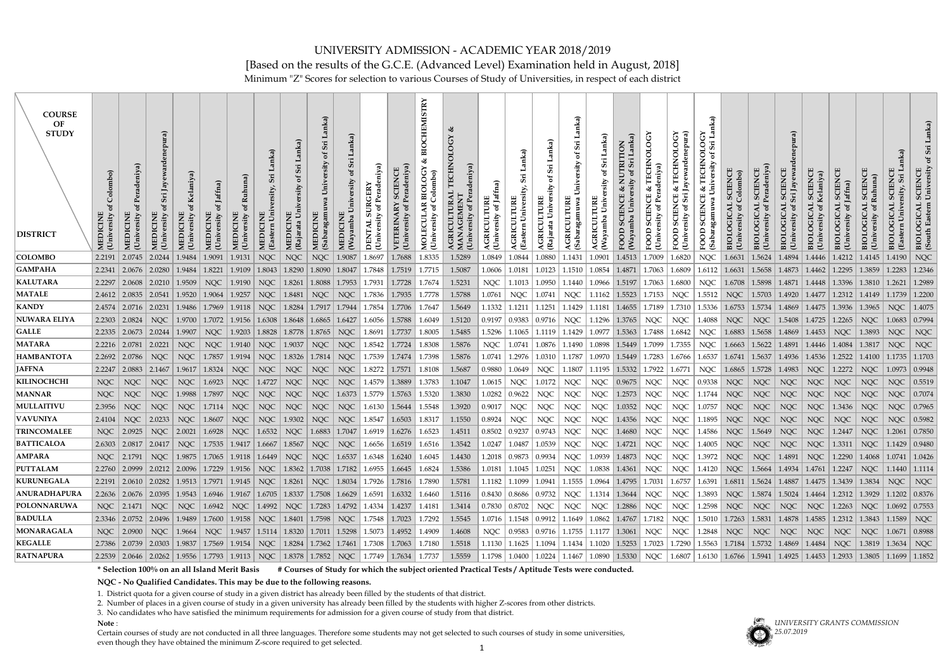Minimum "Z" Scores for selection to various Courses of Study of Universities, in respect of each district

| <b>COURSE</b><br>OF<br><b>STUDY</b><br><b>DISTRICT</b> | Colombo<br>ď<br>MEDI<br>(Univ | MEDICINE          | Üni                                                                                                                                                                                                                                                                                                                                     |            | ð<br>MEDICINE<br>University | (Uni              | MEDICIN                            | MEDICINE<br>Rajarata | MED<br>(Sab <sub>i</sub> ) | Wav        | eniya)<br>ð<br>University<br><b>DENTAL</b> | Uni    | TRY<br><b>CHEMIS</b><br>BIO<br><b>BIOLOGY</b><br>.olombo)<br>MOLECUL<br>(University | niya)  | of Jaffna)<br>TIRE<br>rsity<br>$U$ nive | <b>Easter</b> | AGRICULTURE<br>(Rajara                                                                                                                                                                                                       | Lanka<br>Sii<br>ď<br>ersity<br>Sab <sub>i</sub> |            | RITION<br>EOOD           | deniva<br>Univ | OLOG<br>TECHN<br>చ<br>FOOD                                               | nka)<br><b>TECHNOLOGY</b><br>$\mathbf{u}$<br>Sri<br>ď<br>University<br>ళ<br>(Sabaraga<br>FOOD | Colombo    | <b>SCIENC</b>              | Sri Jay       | <b>SCIENC</b><br>Kelaniy | <b>SCIENCE</b><br>Jaffna)<br>University | Ruhuna<br>Uni                                                                                             |                              | University<br>Easter |
|--------------------------------------------------------|-------------------------------|-------------------|-----------------------------------------------------------------------------------------------------------------------------------------------------------------------------------------------------------------------------------------------------------------------------------------------------------------------------------------|------------|-----------------------------|-------------------|------------------------------------|----------------------|----------------------------|------------|--------------------------------------------|--------|-------------------------------------------------------------------------------------|--------|-----------------------------------------|---------------|------------------------------------------------------------------------------------------------------------------------------------------------------------------------------------------------------------------------------|-------------------------------------------------|------------|--------------------------|----------------|--------------------------------------------------------------------------|-----------------------------------------------------------------------------------------------|------------|----------------------------|---------------|--------------------------|-----------------------------------------|-----------------------------------------------------------------------------------------------------------|------------------------------|----------------------|
| <b>COLOMBO</b>                                         | 2.2191                        | 2.0745            | 2.0244                                                                                                                                                                                                                                                                                                                                  | 1.9484     | 1.9091                      | 1.9131            | <b>NQC</b>                         | <b>NQC</b>           | <b>NQC</b>                 | 1.9087     | 1.8697                                     | 1.7688 | 1.8335                                                                              | 1.5289 | 1.0849                                  | 1.0844        | 1.0880                                                                                                                                                                                                                       | 1.1431                                          | 1.0901     | 1.4513                   | 1.7009         | 1.6820                                                                   | <b>NQC</b>                                                                                    | 1.6631     | 1.5624                     | 1.4894        | 1.4446                   | 1.4212                                  | 1.4145                                                                                                    | 1.4190                       | NOC                  |
| <b>GAMPAHA</b>                                         | 2.2341                        | 2.0676            | 2.0280                                                                                                                                                                                                                                                                                                                                  | 1.9484     | 1.8221                      | 1.9109            | 1.8043                             | 1.8290               | 1.8090                     | 1.8047     | 1.7848                                     | 1.7519 | 1.7715                                                                              | 1.5087 | 1.0606                                  | 1.0181        | 1.0123                                                                                                                                                                                                                       | 1.1510                                          | 1.0854     | 1.4871                   | 1.7063         | 1.6809                                                                   | 1.6112                                                                                        | 1.6631     | 1.5658                     | 1.4873        | 1.4462                   | 1.2295                                  | 1.3859                                                                                                    | 1.2283                       | 1.2346               |
| <b>KALUTARA</b>                                        | 2.2297                        | 2.0608            | 2.0210                                                                                                                                                                                                                                                                                                                                  | 1.9509     | NOC                         | 1.9190            | NQC                                | 1.8261               | 1.8088                     | 1.7953     | 1.7931                                     | 1.7728 | 1.7674                                                                              | 1.5231 | <b>NQC</b>                              | 1.1013        | 1.0950                                                                                                                                                                                                                       | 1.1440                                          | 1.0966     | 1.5197                   | 1.7063         | 1.6800                                                                   | NQC                                                                                           | 1.6708     | $\vert$ 1.5898             | 1.4871        | 1.4448                   | 1.3396                                  | 1.3810                                                                                                    | 1.2621                       | 1.2989               |
| <b>MATALE</b>                                          | 2.4612                        | 2.0835            | $\mid$ 2.0541 $\mid$ 1.9520                                                                                                                                                                                                                                                                                                             |            | 1.9064                      | 1.9257            | <b>NQC</b>                         | 1.8481               | NQC                        | NQC        | 1.7836                                     | 1.7935 | 1.7778                                                                              | 1.5788 | 1.0761                                  | NQC           | 1.0741                                                                                                                                                                                                                       | <b>NQC</b>                                      | 1.1162     | 1.5523                   | 1.7153         | NOC                                                                      | 1.5512                                                                                        | NQC        | 1.5703                     | 1.4920        | 1.4477                   | $1.2312 \mid 1.4149$                    |                                                                                                           | 1.1739                       | 1.2200               |
| <b>KANDY</b>                                           | 2.4574                        | $2.0716$   2.0231 |                                                                                                                                                                                                                                                                                                                                         | 1.9486     | 1.7969                      | 1.9118            | NQC                                |                      | 1.8284   1.7917   1.7944   |            | 1.7854                                     | 1.7706 | 1.7647                                                                              | 1.5649 | 1.1332                                  | 1.1211        | .1251                                                                                                                                                                                                                        | 1.1429                                          | 1.1181     | 1.4655                   | 1.7189         | 1.7310                                                                   | 1.5336                                                                                        | 1.6753     | $\vert 1.5734 \vert$       | 1.4869        | 1.4475                   | 1.3936                                  | 1.3965                                                                                                    | NOC.                         | 1.4075               |
| NUWARA ELIYA                                           | 2.2303                        | 2.0824            | <b>NQC</b>                                                                                                                                                                                                                                                                                                                              | 1.9700     | 1.7072                      | 1.9156            | 1.6308                             | $1.8648$   1.6865    |                            | 1.6427     | 1.6056                                     | 1.5788 | 1.6049                                                                              | 1.5120 | 0.9197                                  | 0.9383        | 0.9716                                                                                                                                                                                                                       | NQC                                             | 1.1296     | 1.3765                   | NQC            | NQC                                                                      | 1.4088                                                                                        | <b>NQC</b> | NQC                        | 1.5408        | 1.4725                   | 1.2265                                  | <b>NQC</b>                                                                                                | 1.0683                       | 0.7994               |
| <b>GALLE</b>                                           | 2.2335                        | 2.0673            | $\mid$ 2.0244                                                                                                                                                                                                                                                                                                                           | 1.9907     | NQC                         |                   | $\mid$ 1.9203 $\mid$ 1.8828 $\mid$ | 1.8778   1.8765      |                            | NQC        | 1.8691                                     | 1.7737 | 1.8005                                                                              | 1.5485 | 1.5296                                  | 1.1065        | 1.1119   1.1429                                                                                                                                                                                                              |                                                 | 1.0977     | 1.5363   1.7488   1.6842 |                |                                                                          | <b>NQC</b>                                                                                    | 1.6883     | 1.5658                     | 1.4869        | $\mid$ 1.4453 $\mid$     | NQC                                     | $ 1.3893\rangle$                                                                                          | NQC                          | <b>NQC</b>           |
| <b>MATARA</b>                                          | 2.2216                        | 2.0781            | $\mid$ 2.0221                                                                                                                                                                                                                                                                                                                           | NOC        | NOC                         | 1.9140            | NQC                                | 1.9037               | NQC                        | <b>NQC</b> | 1.8542                                     | 1.7724 | 1.8308                                                                              | 1.5876 | <b>NQC</b>                              | 1.0741        |                                                                                                                                                                                                                              | 1.1490                                          | 1.0898     | 1.5449                   | 1.7099         | 1.7355                                                                   | NQC                                                                                           |            | $1.6663$   1.5622   1.4891 |               | $1.4446$   1.4084        |                                         | 1.3817                                                                                                    | NOC.                         | <b>NQC</b>           |
| <b>HAMBANTOTA</b>                                      | 2.2692                        | 2.0786            | NQC                                                                                                                                                                                                                                                                                                                                     | <b>NQC</b> | 1.7857                      | 1.9194            | NQC                                | 1.8326               | $\mid 1.7814 \mid$         | NQC        | 1.7539                                     | 1.7474 | 1.7398                                                                              | 1.5876 | 1.0741                                  | 1.2976        | 1.0310                                                                                                                                                                                                                       | 1.1787                                          | 1.0970     | 1.5449                   | 1.7283         | 1.6766                                                                   | 1.6537                                                                                        | 1.6741     | 1.5637                     | 1.4936        | 1.4536                   | 1.2522                                  | 1.4100                                                                                                    |                              | 1.1703               |
| <b>JAFFNA</b>                                          | 2.2247                        | 2.0883            | $2.1467$                                                                                                                                                                                                                                                                                                                                | 1.9617     | 1.8324                      | <b>NQC</b>        | <b>NQC</b>                         | <b>NQC</b>           | <b>NQC</b>                 | <b>NQC</b> | 1.8272                                     | 1.7571 | 1.8108                                                                              | 1.5687 | 0.9880                                  | 1.0649        | NQC                                                                                                                                                                                                                          | 1.1807                                          | 1.1195     | 1.5332                   | 1.7922         | 1.6771                                                                   | NQC                                                                                           | 1.6865     | 1.5728                     | $\mid$ 1.4983 | NQC                      | 1.2272                                  | <b>NQC</b>                                                                                                | 1.0973                       | 0.9948               |
| <b>KILINOCHCHI</b>                                     | <b>NQC</b>                    | <b>NQC</b>        | <b>NOC</b>                                                                                                                                                                                                                                                                                                                              | <b>NQC</b> | 1.6923                      | <b>NQC</b>        | 1.4727                             | <b>NQC</b>           | <b>NQC</b>                 | <b>NQC</b> | 1.4579                                     | 1.3889 | 1.3783                                                                              | 1.1047 | 1.0615                                  | <b>NQC</b>    | 1.0172                                                                                                                                                                                                                       | <b>NQC</b>                                      | <b>NQC</b> | 0.9675                   | <b>NQC</b>     | <b>NQC</b>                                                               | 0.9338                                                                                        | <b>NQC</b> | <b>NQC</b>                 | <b>NQC</b>    | <b>NQC</b>               | <b>NQC</b>                              | <b>NQC</b>                                                                                                | <b>NQC</b>                   | 0.5519               |
| <b>MANNAR</b>                                          | <b>NQC</b>                    | <b>NQC</b>        | NQC                                                                                                                                                                                                                                                                                                                                     | 1.9988     | 1.7897                      | <b>NQC</b>        | NQC                                | <b>NQC</b>           | <b>NQC</b>                 | 1.6373     | 1.5779                                     | 1.5763 | 1.5320                                                                              | 1.3830 | 1.0282                                  | 0.9622        | <b>NQC</b>                                                                                                                                                                                                                   | <b>NQC</b>                                      | <b>NQC</b> | 1.2573                   | NQC            | <b>NQC</b>                                                               | 1.1744                                                                                        | <b>NQC</b> | <b>NQC</b>                 | <b>NQC</b>    | NQC                      | <b>NQC</b>                              | <b>NQC</b>                                                                                                | <b>NQC</b>                   | 0.7074               |
| <b>MULLAITIVU</b>                                      | 2.3956                        | NQC               | NQC                                                                                                                                                                                                                                                                                                                                     | <b>NQC</b> | 1.7114                      | <b>NQC</b>        | <b>NQC</b>                         | NQC                  | <b>NQC</b>                 | <b>NQC</b> | 1.6130                                     | 1.5644 | 1.5548                                                                              | 1.3920 | 0.9017                                  | NQC           | NQC                                                                                                                                                                                                                          | <b>NQC</b>                                      | <b>NQC</b> | 1.0352                   | NQC            | NQC                                                                      | 1.0757                                                                                        | <b>NQC</b> | <b>NQC</b>                 | <b>NQC</b>    | NQC                      | 1.3436                                  | <b>NQC</b>                                                                                                | NQC                          | 0.7965               |
| <b>VAVUNIYA</b>                                        | 2.4104                        | <b>NQC</b>        | 2.0233                                                                                                                                                                                                                                                                                                                                  | <b>NQC</b> | 1.8607                      | <b>NQC</b>        | <b>NQC</b>                         | 1.9302               | <b>NQC</b>                 | NQC        | 1.8547                                     | 1.6503 | 1.8317                                                                              | 1.1550 | 0.8924                                  | <b>NQC</b>    | NQC                                                                                                                                                                                                                          | <b>NQC</b>                                      | <b>NQC</b> | 1.4356                   | NQC            | <b>NQC</b>                                                               | 1.1895                                                                                        | <b>NQC</b> | <b>NQC</b>                 | <b>NQC</b>    | <b>NQC</b>               | <b>NQC</b>                              | <b>NQC</b>                                                                                                | <b>NQC</b>                   | 0.5982               |
| <b>TRINCOMALEE</b>                                     | <b>NQC</b>                    | 2.0925            |                                                                                                                                                                                                                                                                                                                                         |            | 1.6928                      | <b>NQC</b>        | 1.6532                             | <b>NQC</b>           | 1.6883                     | 1.7047     | 1.6919                                     | 1.6276 | 1.6523                                                                              | 1.4511 | 0.8502                                  | 0.9237        | 0.9743                                                                                                                                                                                                                       | <b>NQC</b>                                      | <b>NQC</b> | 1.4680                   | <b>NQC</b>     | <b>NQC</b>                                                               | 1.4586                                                                                        | <b>NQC</b> | 1.5649                     | <b>NQC</b>    | <b>NQC</b>               | 1.2447                                  | <b>NQC</b>                                                                                                | 1.2061                       | $\mid 0.7850$        |
| <b>BATTICALOA</b>                                      | 2.6303                        | $2.0817$   2.0417 |                                                                                                                                                                                                                                                                                                                                         | <b>NOC</b> | 1.7535                      | $1.9417$   1.6667 |                                    | 1.8567               | <b>NOC</b>                 | <b>NOC</b> | .6656                                      | 1.6519 | 1.6516                                                                              | 1.3542 | 1.0247                                  | 1.0487        | 1.0539                                                                                                                                                                                                                       | NOC                                             | <b>NOC</b> | 1.4721                   | NOC            | <b>NOC</b>                                                               | 1.4005                                                                                        | <b>NOC</b> | <b>NQC</b>                 | <b>NOC</b>    | NOC                      | 1.3311                                  | <b>NOC</b>                                                                                                | 1.1429                       | 0.9480               |
| <b>AMPARA</b>                                          |                               |                   | NQC 2.1791   NQC   1.9875   1.7065   1.9118   1.6449   NQC   NQC   1.6537   1.6348   1.6240   1.6045                                                                                                                                                                                                                                    |            |                             |                   |                                    |                      |                            |            |                                            |        |                                                                                     | 1.4430 |                                         |               | 1.2018 0.9873 0.9934 NQC 1.0939 1.4873 NQC NQC 1.3972 NQC NQC 1.4891 NQC 1.2290 1.4068 1.0741 1.0426                                                                                                                         |                                                 |            |                          |                |                                                                          |                                                                                               |            |                            |               |                          |                                         |                                                                                                           |                              |                      |
| <b>PUTTALAM</b>                                        |                               |                   | 2.2760 2.0999 2.0212 2.0096 1.7229 1.9156 NQC 1.8362 1.7038 1.7182 1.6955 1.6645 1.6824                                                                                                                                                                                                                                                 |            |                             |                   |                                    |                      |                            |            |                                            |        |                                                                                     | 1.5386 |                                         |               | $1.0181 \mid 1.1045 \mid 1.0251 \mid \text{NQC} \mid 1.0838 \mid 1.4361 \mid \text{NQC} \mid \text{NQC} \mid 1.4120 \mid \text{NQC} \mid 1.5664 \mid 1.4934 \mid 1.4761 \mid 1.2247 \mid \text{NQC} \mid 1.1440 \mid 1.1114$ |                                                 |            |                          |                |                                                                          |                                                                                               |            |                            |               |                          |                                         |                                                                                                           |                              |                      |
| <b>KURUNEGALA</b>                                      |                               |                   | 2.2191 2.0610 2.0282 1.9513 1.7971 1.9145 NQC 1.8261 NQC 1.8034 1.7926 1.7816 1.7890                                                                                                                                                                                                                                                    |            |                             |                   |                                    |                      |                            |            |                                            |        |                                                                                     | 1.5781 |                                         |               | $1.1182$   $1.1099$   $1.0941$   $1.1555$   $1.0964$   $1.4795$   $1.7031$   $1.6757$   $1.6391$   $1.6811$   $1.5624$   $1.4887$   $1.4475$   $1.3439$   $1.3834$                                                           |                                                 |            |                          |                |                                                                          |                                                                                               |            |                            |               |                          |                                         |                                                                                                           | $\mid$ NQC $\mid$ NQC $\mid$ |                      |
| <b>ANURADHAPURA</b>                                    |                               |                   | 2.2636 2.0676 2.0895 1.9543 1.6946 1.9167 1.6705 1.8337 1.7508 1.6629 1.6591 1.6332 1.6460                                                                                                                                                                                                                                              |            |                             |                   |                                    |                      |                            |            |                                            |        |                                                                                     | 1.5116 |                                         |               | 0.8430   0.8686   0.9732   NQC                                                                                                                                                                                               |                                                 |            |                          |                |                                                                          |                                                                                               |            |                            |               |                          |                                         | 1.1314   1.3644   NQC   NQC   1.3893   NQC   1.5874   1.5024   1.4464   1.2312   1.3929   1.1202   0.8376 |                              |                      |
| <b>POLONNARUWA</b>                                     | NQC                           |                   | 2.1471   NQC   NQC   1.6942   NQC   1.4992   NQC   1.7283   1.4792   1.4334   1.4237   1.4181                                                                                                                                                                                                                                           |            |                             |                   |                                    |                      |                            |            |                                            |        |                                                                                     | 1.3414 |                                         |               | 0.7830   0.8702   NQC                                                                                                                                                                                                        | NQC                                             |            |                          |                | NQC   1.2886   NQC   NQC   1.2598   NQC   NQC   NQC   NQC   1.2263   NQC |                                                                                               |            |                            |               |                          |                                         |                                                                                                           | 1.0692   0.7553              |                      |
| <b>BADULLA</b>                                         |                               |                   | 2.3346 2.0752 2.0496 1.9489 1.7600 1.9158 NQC 1.8401 1.7598 NQC 1.7548 1.7023 1.7292                                                                                                                                                                                                                                                    |            |                             |                   |                                    |                      |                            |            |                                            |        |                                                                                     | 1.5545 |                                         |               | 1.0716 1.1548 0.9912 1.1649 1.0862 1.4767 1.7182 NQC 1.5010 1.7263 1.5831 1.4878 1.4585 1.2312 1.3843 1.1589 NQC                                                                                                             |                                                 |            |                          |                |                                                                          |                                                                                               |            |                            |               |                          |                                         |                                                                                                           |                              |                      |
| MONARAGALA                                             | NOC                           |                   | $\mid$ 2.0900   NQC $\mid$ 1.9664   NQC   1.9457   1.5114   1.8320   1.7011   1.5298   1.5073   1.4952   1.4909                                                                                                                                                                                                                         |            |                             |                   |                                    |                      |                            |            |                                            |        |                                                                                     | 1.4608 |                                         |               | NQC   0.9583   0.9716   1.1755   1.1177   1.3061   NQC   NQC   1.2848   NQC   NQC   NQC   NQC   NQC   NQC   1.0671   0.8988                                                                                                  |                                                 |            |                          |                |                                                                          |                                                                                               |            |                            |               |                          |                                         |                                                                                                           |                              |                      |
| <b>KEGALLE</b>                                         | 2.7386                        |                   | $\vert 2.0739 \vert 2.0303 \vert 1.9837 \vert 1.7569 \vert 1.9154 \vert \text{ NQC} \vert 1.8284 \vert 1.7362 \vert 1.7461 \vert 1.7308 \vert 1.7063 \vert 1.7180 \vert 1.7180 \vert 1.7180 \vert 1.7180 \vert 1.7180 \vert 1.7180 \vert 1.7180 \vert 1.7180 \vert 1.7180 \vert 1.7180 \vert 1.7180 \vert 1.7180 \vert 1.7180 \vert 1.$ |            |                             |                   |                                    |                      |                            |            |                                            |        |                                                                                     | 1.5518 |                                         |               | $1.1130$   $1.1625$   $1.1094$   $1.1434$   $1.1020$   $1.5253$   $1.7023$   $1.7290$   $1.5563$   $1.7184$   $1.5732$   $1.4869$   $1.4484$   NQC   $1.3819$   $1.3634$   NQC                                               |                                                 |            |                          |                |                                                                          |                                                                                               |            |                            |               |                          |                                         |                                                                                                           |                              |                      |
| <b>RATNAPURA</b>                                       |                               |                   | 2.2539 2.0646 2.0262 1.9556 1.7793 1.9113 NQC 1.8378 1.7852 NQC 1.7749 1.7634 1.7737                                                                                                                                                                                                                                                    |            |                             |                   |                                    |                      |                            |            |                                            |        |                                                                                     | 1.5559 |                                         |               | 1.1798   1.0400   1.0224   1.1467   1.0890   1.5330   NQC   1.6807   1.6130   1.6766   1.5941   1.4925   1.4453   1.2933   1.3805   1.1699   1.1852                                                                          |                                                 |            |                          |                |                                                                          |                                                                                               |            |                            |               |                          |                                         |                                                                                                           |                              |                      |

**\* Selection 100% on an all Island Merit Basis # Courses of Study for which the subject oriented Practical Tests / Aptitude Tests were conducted.**

**NQC - No Qualified Candidates. This may be due to the following reasons.**

1. District quota for a given course of study in a given district has already been filled by the students of that district.

2. Number of places in a given course of study in a given university has already been filled by the students with higher Z-scores from other districts.

3. No candidates who have satisfied the minimum requirements for admission for a given course of study from that district.

**Note** :

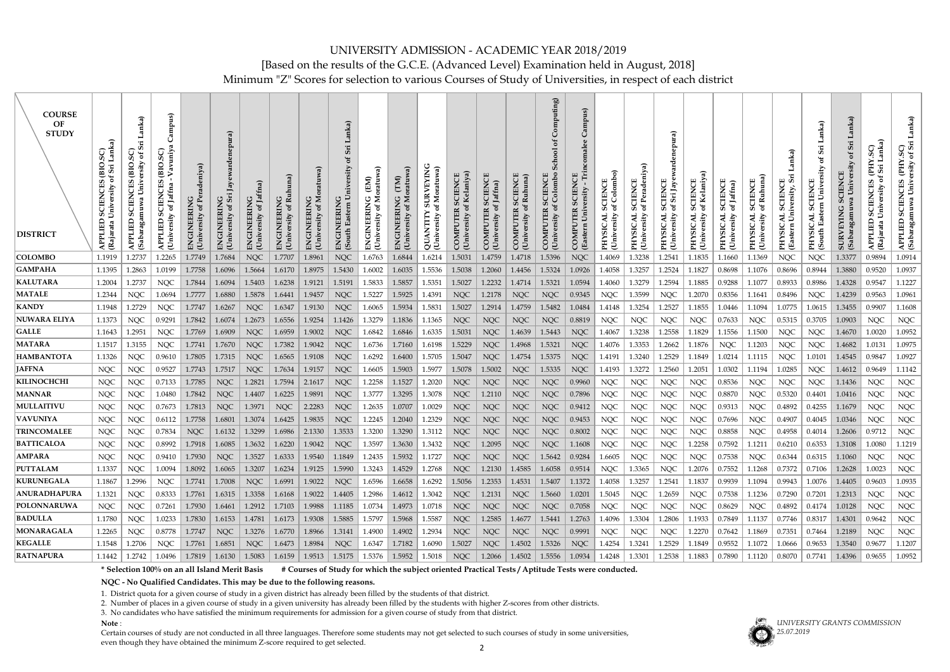# UNIVERSITY ADMISSION - ACADEMIC YEAR 2018/2019

[Based on the results of the G.C.E. (Advanced Level) Examination held in August, 2018]

Minimum "Z" Scores for selection to various Courses of Study of Universities, in respect of each district

| <b>COURSE</b><br>OF<br><b>STUDY</b><br><b>DISTRICT</b> | Lanka)<br>GS.<br>(BIO.<br><b>SCIENCES</b><br>ersity<br>APPLIED<br>(Rajarata l | anka)<br>SCIENCES (BIO.SC)<br>$\mathfrak{b}$<br>ersity<br>Univ<br>(Sabaragamuwa<br><b>APPLIED</b> | mpus)<br>avuniy<br>(BIO.SC)<br>CIENCES<br>Jaffna<br>ಕ<br>S<br>versity<br>APPLIED<br>(Universit | ENGINEERING<br>(University of Peradeniya) | <b>ENGINEERING</b><br>University of Sr | of Jaffna)<br><b>Univer</b> | of Ruh<br>(University | Ž<br><b>ENGINEERING</b><br>$\sigma$<br><b>University</b> | mka)<br>Sri<br>ð<br>niversity<br>Eastern<br>ENGINEERIN<br>(South | ৱ<br>Moratuw<br>(EM)<br>C<br>ENGINEERIN<br>್ರ<br>rsity<br>(Univer | oratuwa<br>(TM)<br>ENGINERING<br>≅<br>ď<br>University | <b>SURVEYING</b><br>Moratuw<br>৳<br>QUANTITY<br>(University o | R SCIENCE<br>of Kelaniya)<br>COMPUTER<br>(University of | SCIENCE<br>f Jaffna)<br>COMPUTER<br>University of | Ruhuna)<br>bf<br>(Univ<br>ČO | omputing)<br>School<br>Colombo<br><b>SCIENCE</b><br>COMPUTER<br>(Univ | Campus)<br>SCIENCE<br>ersity<br>Univ<br><b>COMPUTER</b><br>(Eastern | Colombo)<br><b>SCIENCE</b><br>ಕ<br><b>PHYSICAL</b><br>(University | <b>SCIENCE</b><br>ď<br><b>PHYSICAL</b><br>sity<br>(Unive | ardenepura)<br>υ<br>Sri Jay<br>SCIENC<br>ಕ<br><b>TADISXHd</b><br><b>University</b> | <b>SCIENCE</b><br>of Kelaniya<br>$\sigma$ f<br><b>TADISXHd</b><br><b>University</b> | <b>CIENCE</b><br>Jaffna)<br>$\frac{6}{5}$<br>TK.<br>$\overline{\text{SC}}$<br>PHYSIC<br>Univers | Ruhuna)<br>靣<br>ď<br>(Unive: | anka)<br>O)<br>University<br><b>Easter</b><br>NHJ | Lanka)<br>Sri<br>ð<br>University<br><b>SCIENCE</b><br>Eastern<br><b>PHYSIC</b><br>(South | mka)<br>$S_{11}$<br>đ<br><b>SCIENCE</b><br>Univ<br>wa<br><b>SURVEYING</b><br>(Sab. | Lanka)<br>SC)<br><b>THE</b><br>$\sin$<br>ď<br><b>SCIENCES</b><br>ersity<br>Univ<br><b>APPLIED</b><br>(Rajarata | Lanka)<br>APPLIED SCIENCES (PHY.SC)<br>(Sabaragamuwa University of Sri |
|--------------------------------------------------------|-------------------------------------------------------------------------------|---------------------------------------------------------------------------------------------------|------------------------------------------------------------------------------------------------|-------------------------------------------|----------------------------------------|-----------------------------|-----------------------|----------------------------------------------------------|------------------------------------------------------------------|-------------------------------------------------------------------|-------------------------------------------------------|---------------------------------------------------------------|---------------------------------------------------------|---------------------------------------------------|------------------------------|-----------------------------------------------------------------------|---------------------------------------------------------------------|-------------------------------------------------------------------|----------------------------------------------------------|------------------------------------------------------------------------------------|-------------------------------------------------------------------------------------|-------------------------------------------------------------------------------------------------|------------------------------|---------------------------------------------------|------------------------------------------------------------------------------------------|------------------------------------------------------------------------------------|----------------------------------------------------------------------------------------------------------------|------------------------------------------------------------------------|
| <b>COLOMBO</b>                                         | 1.1919                                                                        | .2737                                                                                             | 1.2265                                                                                         | 1.7749                                    | 1.7684                                 | <b>NQC</b>                  | 1.7707                | 1.8961                                                   | <b>NQC</b>                                                       | 1.6763                                                            | 1.6844                                                | 1.6214                                                        | 1.5031                                                  | 1.4759                                            | 1.4718                       | 1.5396                                                                | <b>NQC</b>                                                          | 1.4069                                                            | 1.3238                                                   | 1.2541                                                                             | 1.1835                                                                              | 1.1660                                                                                          | .1369                        | <b>NQC</b>                                        | <b>NQC</b>                                                                               | 1.3377                                                                             | 0.9894                                                                                                         | 1.0914                                                                 |
| <b> GAMPAHA</b>                                        | 1.1395                                                                        | 1.2863                                                                                            | 1.0199                                                                                         | 1.7758                                    | 1.6096                                 | 1.5664                      | 1.6170                | 1.8975                                                   | 1.5430                                                           | 1.6002                                                            | 1.6035                                                | 1.5536                                                        | 1.5038                                                  | 1.2060                                            | 1.4456                       | 1.5324                                                                | 1.0926                                                              | 1.4058                                                            | 1.3257                                                   | 1.2524                                                                             | 1.1827                                                                              | 0.8698                                                                                          | 1.1076                       | 0.8696                                            | 0.8944                                                                                   | 1.3880                                                                             | 0.9520                                                                                                         | 1.0937                                                                 |
| <b>KALUTARA</b>                                        | 1.2004                                                                        | 1.2737                                                                                            | <b>NQC</b>                                                                                     | 1.7844                                    | 1.6094                                 | 1.5403                      | 1.6238                | 1.9121                                                   | 1.5191                                                           | 1.5833                                                            | 1.5857                                                | 1.5351                                                        | 1.5027                                                  | 1.2232                                            | 1.4714                       | 1.5321                                                                | 1.0594                                                              | 1.4060                                                            | 1.3279                                                   | 1.2594                                                                             | 1.1885                                                                              | 0.9288                                                                                          | 1.1077                       | 0.8933                                            | 0.8986                                                                                   | 1.4328                                                                             | 0.9547                                                                                                         | 1.1227                                                                 |
| <b>MATALE</b><br><b>KANDY</b>                          | 1.2344<br>1.1948                                                              | <b>NQC</b><br>1.2729                                                                              | 1.0694<br><b>NQC</b>                                                                           | 1.7777<br>1.7747                          | 1.6880<br>1.6267                       | 1.5878<br><b>NQC</b>        | 1.6441<br>1.6347      | 1.9457<br>1.9130                                         | <b>NQC</b><br><b>NQC</b>                                         | 1.5227<br>1.6065                                                  | 1.5925<br>1.5934                                      | 1.4391<br>1.5831                                              | <b>NQC</b><br>1.5027                                    | 1.2178<br>1.2914                                  | <b>NQC</b><br>1.4759         | <b>NQC</b><br>1.5482                                                  | 0.9345<br>1.0484                                                    | <b>NQC</b><br>1.4148                                              | 1.3599<br>1.3254                                         | <b>NQC</b><br>1.2527                                                               | 1.2070<br>1.1855                                                                    | 0.8356<br>1.0446                                                                                | 1.1641<br>.1094              | 0.8496<br>1.0775                                  | <b>NQC</b><br>1.0615                                                                     | 1.4239<br>1.3455                                                                   | 0.9563<br>0.9907                                                                                               | 1.0961<br>1.1608                                                       |
| <b>NUWARA ELIYA</b>                                    | 1.1373                                                                        | <b>NQC</b>                                                                                        | 0.9291                                                                                         | 1.7842                                    | 1.6074                                 | 1.2673                      | 1.6556                | 1.9254                                                   | 1.1426                                                           | 1.3279                                                            | 1.1836                                                | 1.1365                                                        | <b>NQC</b>                                              | <b>NQC</b>                                        | <b>NQC</b>                   | <b>NQC</b>                                                            | 0.8819                                                              | <b>NQC</b>                                                        | <b>NQC</b>                                               | <b>NQC</b>                                                                         | <b>NQC</b>                                                                          | 0.7633                                                                                          | <b>NQC</b>                   | 0.5315                                            | 0.3705                                                                                   | 1.0903                                                                             | <b>NQC</b>                                                                                                     | $\rm NQC$                                                              |
| $ \mathbf{GALLE} $                                     | 1.1643                                                                        | 1.2951                                                                                            | <b>NQC</b>                                                                                     | 1.7769                                    | 1.6909                                 | <b>NQC</b>                  | 1.6959                | 1.9002                                                   | <b>NQC</b>                                                       | 1.6842                                                            | 1.6846                                                | 1.6335                                                        | 1.5031                                                  | <b>NQC</b>                                        | 1.4639                       | 1.5443                                                                | <b>NQC</b>                                                          | 1.4067                                                            | 1.3238                                                   | 1.2558                                                                             | 1.1829                                                                              | 1.1556                                                                                          | 1.1500                       | <b>NQC</b>                                        | <b>NQC</b>                                                                               | 1.4670                                                                             | 1.0020                                                                                                         | 1.0952                                                                 |
| MATARA                                                 | 1.1517                                                                        | 1.3155                                                                                            | <b>NQC</b>                                                                                     | 1.7741                                    | 1.7670                                 | <b>NQC</b>                  | 1.7382                | 1.9042                                                   | <b>NQC</b>                                                       | 1.6736                                                            | 1.7160                                                | 1.6198                                                        | 1.5229                                                  | <b>NQC</b>                                        | 1.4968                       | 1.5321                                                                | <b>NQC</b>                                                          | 1.4076                                                            | 1.3353                                                   | 1.2662                                                                             | 1.1876                                                                              | <b>NQC</b>                                                                                      | 1.1203                       | <b>NQC</b>                                        | <b>NQC</b>                                                                               | 1.4682                                                                             | 1.0131                                                                                                         | 1.0975                                                                 |
| <b>HAMBANTOTA</b>                                      | 1.1326                                                                        | <b>NQC</b>                                                                                        | 0.9610                                                                                         | 1.7805                                    | 1.7315                                 | <b>NQC</b>                  | 1.6565                | 1.9108                                                   | <b>NQC</b>                                                       | 1.6292                                                            | 1.6400                                                | 1.5705                                                        | 1.5047                                                  | <b>NQC</b>                                        | 1.4754                       | 1.5375                                                                | <b>NQC</b>                                                          | 1.4191                                                            | 1.3240                                                   | 1.2529                                                                             | 1.1849                                                                              | 1.0214                                                                                          | 1.1115                       | <b>NQC</b>                                        | 1.0101                                                                                   | 1.4545                                                                             | 0.9847                                                                                                         | 1.0927                                                                 |
| <b>JAFFNA</b>                                          | <b>NQC</b>                                                                    | <b>NQC</b>                                                                                        | 0.9527                                                                                         | 1.7743                                    | 1.7517                                 | <b>NQC</b>                  | 1.7634                | 1.9157                                                   | <b>NQC</b>                                                       | 1.6605                                                            | 1.5903                                                | 1.5977                                                        | 1.5078                                                  | 1.5002                                            | <b>NQC</b>                   | 1.5335                                                                | <b>NQC</b>                                                          | 1.4193                                                            | 1.3272                                                   | 1.2560                                                                             | 1.2051                                                                              | 1.0302                                                                                          | 1.1194                       | 1.0285                                            | <b>NQC</b>                                                                               | 1.4612                                                                             | 0.9649                                                                                                         | 1.1142                                                                 |
| <b>KILINOCHCHI</b>                                     | <b>NQC</b>                                                                    | <b>NQC</b>                                                                                        | 0.7133                                                                                         | 1.7785                                    | <b>NQC</b>                             | 1.2821                      | 1.7594                | 2.1617                                                   | <b>NQC</b>                                                       | 1.2258                                                            | 1.1527                                                | 1.2020                                                        | <b>NQC</b>                                              | <b>NQC</b>                                        | <b>NQC</b>                   | <b>NQC</b>                                                            | 0.9960                                                              | <b>NQC</b>                                                        | <b>NQC</b>                                               | <b>NQC</b>                                                                         | <b>NQC</b>                                                                          | 0.8536                                                                                          | <b>NQC</b>                   | <b>NQC</b>                                        | <b>NQC</b>                                                                               | 1.1436                                                                             | <b>NQC</b>                                                                                                     | $\rm NQC$                                                              |
| MANNAR                                                 | <b>NQC</b>                                                                    | <b>NQC</b>                                                                                        | 1.0480                                                                                         | 1.7842                                    | <b>NQC</b>                             | 1.4407                      | 1.6225                | 1.9891                                                   | <b>NQC</b>                                                       | 1.3777                                                            | 1.3295                                                | 1.3078                                                        | <b>NQC</b>                                              | 1.2110                                            | <b>NQC</b>                   | <b>NQC</b>                                                            | 0.7896                                                              | <b>NQC</b>                                                        | <b>NQC</b>                                               | <b>NQC</b>                                                                         | <b>NQC</b>                                                                          | 0.8870                                                                                          | <b>NQC</b>                   | 0.5320                                            | 0.4401                                                                                   | 1.0416                                                                             | <b>NQC</b>                                                                                                     | $\rm NQC$                                                              |
| MULLAITIVU                                             | <b>NQC</b>                                                                    | <b>NQC</b>                                                                                        | 0.7673                                                                                         | 1.7813                                    | <b>NQC</b>                             | 1.3971                      | <b>NQC</b>            | 2.2283                                                   | <b>NQC</b>                                                       | 1.2635                                                            | 1.0707                                                | 1.0029                                                        | <b>NQC</b>                                              | <b>NQC</b>                                        | <b>NQC</b>                   | <b>NQC</b>                                                            | 0.9412                                                              | <b>NQC</b>                                                        | <b>NQC</b>                                               | <b>NQC</b>                                                                         | <b>NQC</b>                                                                          | 0.9313                                                                                          | <b>NQC</b>                   | 0.4892                                            | 0.4255                                                                                   | 1.1679                                                                             | <b>NQC</b>                                                                                                     | <b>NQC</b>                                                             |
| <b>VAVUNIYA</b>                                        | <b>NQC</b>                                                                    | <b>NQC</b>                                                                                        | 0.6112                                                                                         | 1.7758                                    | 1.6801                                 | 1.3074                      | 1.6425                | 1.9835                                                   | <b>NQC</b>                                                       | 1.2245                                                            | 1.2040                                                | 1.2329                                                        | <b>NQC</b>                                              | <b>NQC</b>                                        | <b>NQC</b>                   | <b>NQC</b>                                                            | 0.9453                                                              | <b>NQC</b>                                                        | <b>NQC</b>                                               | <b>NQC</b>                                                                         | <b>NQC</b>                                                                          | 0.7696                                                                                          | <b>NQC</b>                   | 0.4907                                            | 0.4045                                                                                   | 1.0346                                                                             | <b>NQC</b>                                                                                                     | $\rm NQC$                                                              |
| <b>TRINCOMALEE</b>                                     | <b>NQC</b>                                                                    | <b>NQC</b>                                                                                        | 0.7834                                                                                         | <b>NQC</b>                                | 1.6132                                 | 1.3299                      | 1.6986                | 2.1330                                                   | 1.3533                                                           | 1.3200                                                            | 1.3290                                                | 1.3112                                                        | <b>NQC</b>                                              | <b>NQC</b>                                        | <b>NQC</b>                   | <b>NQC</b>                                                            | 0.8002                                                              | <b>NQC</b>                                                        | <b>NQC</b>                                               | <b>NQC</b>                                                                         | <b>NQC</b>                                                                          | 0.8858                                                                                          | <b>NQC</b>                   | 0.4958                                            | 0.4014                                                                                   | 1.2606                                                                             | 0.9712                                                                                                         | <b>NQC</b>                                                             |
| <b>BATTICALOA</b>                                      | <b>NQC</b>                                                                    | <b>NQC</b>                                                                                        | 0.8992                                                                                         | 1.7918                                    | 1.6085                                 | .3632                       | 1.6220                | 1.9042                                                   | <b>NQC</b>                                                       | 1.3597                                                            | 1.3630                                                | 1.3432                                                        | <b>NQC</b>                                              | 1.2095                                            | <b>NQC</b>                   | <b>NQC</b>                                                            | 1.1608                                                              | <b>NQC</b>                                                        | <b>NQC</b>                                               | <b>NQC</b>                                                                         | 1.2258                                                                              | 0.7592                                                                                          | .1211                        | 0.621                                             | 0.6353                                                                                   | 1.3108                                                                             | 1.0080                                                                                                         | 1.1219                                                                 |
| <b>AMPARA</b>                                          | <b>NQC</b>                                                                    | <b>NQC</b>                                                                                        | 0.9410                                                                                         | 1.7930                                    | <b>NQC</b>                             | 1.3527                      | 1.6333                | 1.9540                                                   | 1.1849                                                           | 1.2435                                                            | 1.5932                                                | 1.1727                                                        | <b>NQC</b>                                              | <b>NQC</b>                                        | <b>NQC</b>                   | 1.5642                                                                | 0.9284                                                              | 1.6605                                                            | <b>NQC</b>                                               | <b>NQC</b>                                                                         | <b>NQC</b>                                                                          | 0.7538                                                                                          | <b>NQC</b>                   | 0.6344                                            | 0.6315                                                                                   | 1.1060                                                                             | <b>NQC</b>                                                                                                     | <b>NQC</b>                                                             |
| <b>PUTTALAM</b>                                        | 1.1337                                                                        | <b>NQC</b>                                                                                        | 1.0094                                                                                         | 1.8092                                    | 1.6065                                 | 1.3207                      | 1.6234                | 1.9125                                                   | 1.5990                                                           | 1.3243                                                            | 1.4529                                                | 1.2768                                                        | <b>NQC</b>                                              | 1.2130                                            | 1.4585                       | 1.6058                                                                | 0.9514                                                              | NQC                                                               | 1.3365                                                   | <b>NQC</b>                                                                         | 1.2076                                                                              | 0.7552                                                                                          | 1.1268                       | 0.7372                                            | 0.7106                                                                                   | 1.2628                                                                             | 1.0023                                                                                                         | <b>NQC</b>                                                             |
| <b>KURUNEGALA</b>                                      | 1.1867                                                                        | 1.2996                                                                                            | <b>NQC</b>                                                                                     | 1.7741                                    | 1.7008                                 | <b>NQC</b>                  | 1.6991                | $1.9022$                                                 | <b>NQC</b>                                                       | 1.6596                                                            | 1.6658                                                | 1.6292                                                        | 1.5056                                                  | 1.2353                                            | 1.4531                       | 1.5407                                                                | 1.1372                                                              | 1.4058                                                            | 1.3257                                                   | 1.2541                                                                             | 1.1837                                                                              | 0.9939                                                                                          | 1.1094                       | 0.9943                                            | 1.0076                                                                                   | 1.4405                                                                             | 0.9603                                                                                                         | 1.0935                                                                 |
| <b> ANURADHAPURA</b>                                   | 1.1321                                                                        | <b>NQC</b>                                                                                        | 0.8333                                                                                         | 1.7761                                    | 1.6315                                 | 1.3358                      | 1.6168                | $1.9022$                                                 | 1.4405                                                           | 1.2986                                                            | 1.4612                                                | 1.3042                                                        | <b>NQC</b>                                              | 1.2131                                            | <b>NQC</b>                   | 1.5660                                                                | 1.0201                                                              | 1.5045                                                            | <b>NQC</b>                                               | 1.2659                                                                             | <b>NQC</b>                                                                          | 0.7538                                                                                          | 1.1236                       | 0.7290                                            | 0.7201                                                                                   | 1.2313                                                                             | NQC                                                                                                            | <b>NQC</b>                                                             |
| <b>POLONNARUWA</b>                                     | NQC                                                                           | NQC                                                                                               | 0.7261                                                                                         | 1.7930                                    | 1.6461                                 | 1.2912                      | 1.7103                | 1.9988                                                   | 1.1185                                                           | 1.0734                                                            | 1.4973                                                | 1.0718                                                        | <b>NQC</b>                                              | <b>NQC</b>                                        | <b>NQC</b>                   | <b>NQC</b>                                                            | 0.7058                                                              | NQC                                                               | <b>NQC</b>                                               | NQC                                                                                | <b>NQC</b>                                                                          | 0.8629                                                                                          | <b>NQC</b>                   | 0.4892                                            | 0.4174                                                                                   | 1.0128                                                                             | <b>NQC</b>                                                                                                     | <b>NQC</b>                                                             |
| <b>BADULLA</b>                                         | 1.1780                                                                        | <b>NQC</b>                                                                                        | 1.0233                                                                                         | 1.7830                                    | 1.6153                                 | 1.4781                      | 1.6173                | 1.9308                                                   | 1.5885                                                           | 1.5797                                                            | 1.5968                                                | 1.5587                                                        | <b>NQC</b>                                              | 1.2585                                            | 1.4677                       | 1.5441                                                                | 1.2763                                                              | 1.4096                                                            | 1.3304                                                   | 1.2806                                                                             | 1.1933                                                                              | 0.7849                                                                                          | 1.1137                       | 0.7746                                            | 0.8317                                                                                   | 1.4301                                                                             | 0.9642                                                                                                         | <b>NQC</b>                                                             |
| <b>MONARAGALA</b>                                      | 1.2265                                                                        | <b>NQC</b>                                                                                        | 0.8778                                                                                         | 1.7747                                    | <b>NQC</b>                             | 1.3276                      | 1.6770                | 1.8966                                                   | 1.3141                                                           | 1.4900                                                            | 1.4902                                                | 1.2934                                                        | <b>NQC</b>                                              | <b>NQC</b>                                        | <b>NQC</b>                   | NQC                                                                   | 0.9991                                                              | <b>NQC</b>                                                        | <b>NQC</b>                                               | <b>NQC</b>                                                                         | 1.2270                                                                              | 0.7642                                                                                          | 1.1869                       | 0.7351                                            | 0.7464                                                                                   | 1.2189                                                                             | <b>NQC</b>                                                                                                     | <b>NQC</b>                                                             |
| <b>KEGALLE</b>                                         | 1.1548                                                                        | 1.2706                                                                                            | <b>NQC</b>                                                                                     | 1.7761                                    | 1.6851                                 | <b>NQC</b>                  | 1.6473                | 1.8984                                                   | <b>NQC</b>                                                       | 1.6347                                                            | 1.7182                                                | 1.6090                                                        | 1.5027                                                  | <b>NQC</b>                                        | 1.4502                       | 1.5326                                                                | <b>NQC</b>                                                          | 1.4254                                                            | 1.3241                                                   | 1.2529                                                                             | 1.1849                                                                              | 0.9552                                                                                          | 1.1072                       | 1.0666                                            | 0.9653                                                                                   | 1.3540                                                                             | 0.9677                                                                                                         | 1.1207                                                                 |
| <b>RATNAPURA</b>                                       | 1.1442                                                                        | 1.2742                                                                                            | 1.0496                                                                                         | 1.7819                                    | 1.6130                                 | 1.5083                      | $1.6159$   1.9513     |                                                          | 1.5175   1.5376                                                  |                                                                   | $1.5952$   $1.5018$                                   |                                                               | NQC                                                     | 1.2066                                            | $1.4502$                     | 1.5556                                                                | $1.0934$                                                            | 1.4248                                                            | 1.3301                                                   | 1.2538                                                                             | 1.1883                                                                              | 0.7890                                                                                          | 1.1120                       | 0.8070                                            | 0.7741                                                                                   | 1.4396                                                                             | 0.9655                                                                                                         | 1.0952                                                                 |

**\* Selection 100% on an all Island Merit Basis # Courses of Study for which the subject oriented Practical Tests / Aptitude Tests were conducted.**

**NQC - No Qualified Candidates. This may be due to the following reasons.**

1. District quota for a given course of study in a given district has already been filled by the students of that district.

2. Number of places in a given course of study in a given university has already been filled by the students with higher Z-scores from other districts.

3. No candidates who have satisfied the minimum requirements for admission for a given course of study from that district.

**Note** :

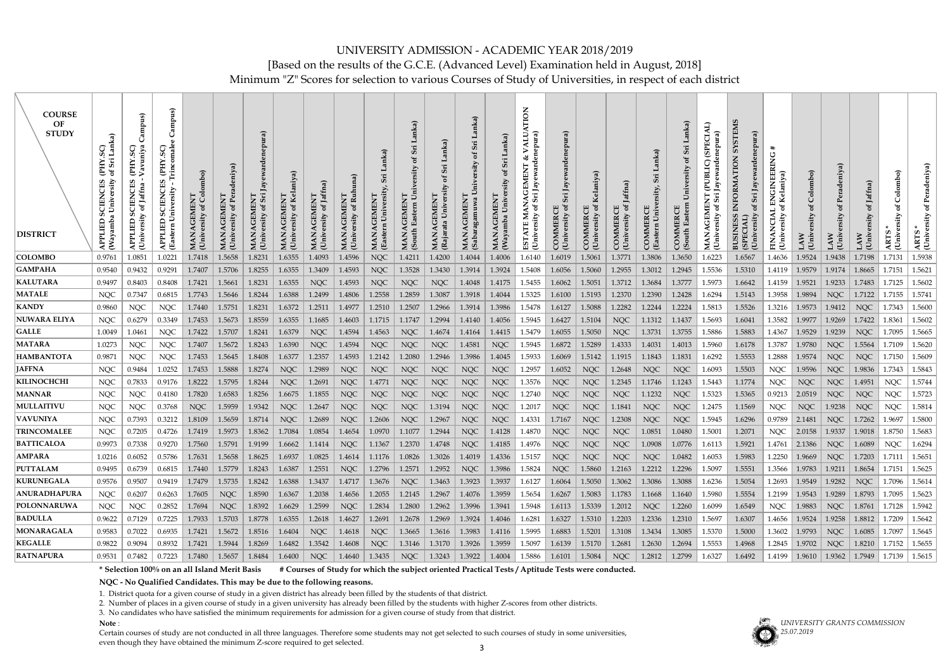Minimum "Z" Scores for selection to various Courses of Study of Universities, in respect of each district

| <b>COURSE</b><br>OF<br><b>STUDY</b><br><b>DISTRICT</b> | anka)<br><b>AHJ</b><br><b>SCIENCES</b><br>APPLIED<br>Wayamba | mpus)<br>avuniya<br>SC)<br><b>AHJ</b><br>CIENCES<br>of Jaffna<br>⋗<br>APPLIED<br>Univ | mpus)<br>්<br>Trincomale<br>(PHY.SC)<br><b>SCIENCES</b><br>ersity<br>APPLIED<br>(Eastern U | <b>AGEMENT</b><br>rsity of Colombo)<br>⋖<br>MAN <sub>/</sub><br>Unive | <b>.GEMENT</b><br>rsity of Per<br>MANA<br>(Univer | ardenepura)<br>Sri<br>ð<br>(Univ | Kelaniya)<br>$\sigma$<br><b>University</b> | of Jaff<br>MANA<br>(Univ | Ruhuna)<br>CEMEN<br>MANA<br>(Univer | <b>GEMENT</b><br><b>MANA</b><br>Eã | Lanka)<br>Sri<br>ិដ<br>ersity<br>Univ<br><b>GEMENT</b><br>Eastern<br><b>MANA</b><br>(South | MANAGEMENT<br>(Rajarata Univers | Sri<br>ð<br>agamuwa<br><b>GEMEN</b><br>⋖<br><b>MAN</b><br>(Sab | ূর্<br>.GEMENT<br>nba Univ<br>MAN <sub>4</sub><br>Waya | <b>NOI</b><br>nepura)<br>ALU.<br>ళ<br>$\mathsf{a}_\mathsf{r}$<br>EMEN<br>Φ<br>$\mathbf{A}$<br>IAGI<br>Sri J<br>MAN.<br>ity of S<br>$ESTA'$<br>Unive | ewardenepura)<br>Jay<br>Sri<br>$\sigma$<br>(University<br>ĆO | elaniya)<br>ď<br>(University<br>COMMER | Jaffna)<br>ď<br>COMMERCE<br>(Univ | Sri<br><b>COMMERCE</b><br>Ea | Sri<br>್ರ<br>rsity<br><b>COMMERCE</b><br>(South | (SPECIAL)<br>ewardenepura)<br>(PUBLIC)<br>GEMET<br>(University<br><b>MANA</b> | <b>NELSX</b><br>nepura)<br>S<br>TION<br>Jayew<br><b>INFORMA</b><br>University | EER.<br>Kelaniya)<br>ersity<br>Ę<br>Univ | Colombo)<br>ð<br>ersity<br>(Univ<br>AW | leniya)<br>ರ<br>ď<br>(Univ<br>LAW | LAW<br>(Univ         | Colombo)<br>ď<br>ARTS<br>Univ | Peradeniya)<br>ď<br>(University<br><b>ARTS</b> |
|--------------------------------------------------------|--------------------------------------------------------------|---------------------------------------------------------------------------------------|--------------------------------------------------------------------------------------------|-----------------------------------------------------------------------|---------------------------------------------------|----------------------------------|--------------------------------------------|--------------------------|-------------------------------------|------------------------------------|--------------------------------------------------------------------------------------------|---------------------------------|----------------------------------------------------------------|--------------------------------------------------------|-----------------------------------------------------------------------------------------------------------------------------------------------------|--------------------------------------------------------------|----------------------------------------|-----------------------------------|------------------------------|-------------------------------------------------|-------------------------------------------------------------------------------|-------------------------------------------------------------------------------|------------------------------------------|----------------------------------------|-----------------------------------|----------------------|-------------------------------|------------------------------------------------|
| <b>COLOMBO</b>                                         | 0.9761                                                       | 1.0851                                                                                | 1.0221                                                                                     | 1.7418                                                                | 1.5658                                            | 1.8231                           | 1.6355                                     | 1.4093                   | 1.4596                              | <b>NQC</b>                         | 1.4211                                                                                     | 1.4200                          | 1.4044                                                         | 1.4006                                                 | 1.6140                                                                                                                                              | 1.6019                                                       | 1.5061                                 | 1.3771                            | 1.3806                       | 1.3650                                          | 1.6223                                                                        | 1.6567                                                                        | 1.4636                                   | 1.9524                                 | 1.9438                            | 1.7198               | 1.7131                        | 1.5938                                         |
| GAMPAHA                                                | 0.9540                                                       | 0.9432                                                                                | 0.9291                                                                                     | 1.7407                                                                | 1.5706                                            | 1.8255                           | 1.6355                                     | 1.3409                   | 1.4593                              | <b>NQC</b>                         | 1.3528                                                                                     | 1.3430                          | 1.3914                                                         | 1.3924                                                 | 1.5408                                                                                                                                              | 1.6056                                                       | 1.5060                                 | 1.2955                            | 1.3012                       | 1.2945                                          | 1.5536                                                                        | 1.5310                                                                        | 1.4119                                   | 1.9579                                 | 1.9174                            | 1.8665               | 1.7151                        | 1.5621                                         |
| <b>KALUTARA</b>                                        | 0.9497                                                       | 0.8403                                                                                | 0.8408                                                                                     | 1.7421                                                                | 1.5661                                            | 1.8231                           | 1.6355                                     | <b>NQC</b>               | 1.4593                              | <b>NQC</b>                         | <b>NQC</b>                                                                                 | <b>NQC</b>                      | 1.4048                                                         | 1.4175                                                 | 1.5455                                                                                                                                              | 1.6062                                                       | 1.5051                                 | 1.3712                            | 1.3684                       | 1.3777                                          | 1.5973                                                                        | 1.6642                                                                        | 1.4159                                   | 1.9521                                 | 1.9233                            | 1.7483               | 1.7125                        | 1.5602                                         |
| MATALE                                                 | <b>NQC</b>                                                   | 0.7347                                                                                | 0.6815                                                                                     | 1.7743                                                                | 1.5646                                            | 1.8244                           | 1.6388                                     | 1.2499                   | 1.4806                              | 1.2558                             | 1.2859                                                                                     | 1.3087                          | 1.3918                                                         | 1.4044                                                 | 1.5325                                                                                                                                              | 1.6100                                                       | 1.5193                                 | 1.2370                            | 1.2390                       | 1.2428                                          | 1.6294                                                                        | 1.5143                                                                        | 1.3958                                   | 1.9894                                 | <b>NQC</b>                        | 1.7122               | 1.7155                        | 1.5741                                         |
| <b>KANDY</b>                                           | 0.9860                                                       | <b>NQC</b>                                                                            | <b>NQC</b>                                                                                 | 1.7440                                                                | 1.5751                                            | 1.8231                           | 1.6372                                     | 1.2511                   | 1.4977                              | 1.2510                             | 1.2507                                                                                     | 1.2966                          | 1.3914                                                         | 1.3986                                                 | 1.5478                                                                                                                                              | 1.6127                                                       | 1.5088                                 | 1.2282                            | 1.2244                       | 1.2224                                          | 1.5813                                                                        | 1.5526                                                                        | 1.3216                                   | 1.9573                                 | 1.9412                            | <b>NQC</b>           | 1.7343                        | 1.5600                                         |
| <b>NUWARA ELIYA</b>                                    | <b>NQC</b>                                                   | 0.6279                                                                                | 0.3349                                                                                     | 1.7453                                                                | 1.5673                                            | 1.8559                           | 1.6355                                     | 1.1685                   | 1.4603                              | 1.1715                             | 1.1747                                                                                     | 1.2994                          | 1.4140                                                         | 1.4056                                                 | 1.5945                                                                                                                                              | 1.6427                                                       | 1.5104                                 | <b>NQC</b>                        | 1.1312                       | 1.1437                                          | 1.5693                                                                        | 1.6041                                                                        | 1.3582                                   | 1.9977                                 | 1.9269                            | 1.7422               | 1.8361                        | 1.5602                                         |
| $ \mathbf{GALLE} $                                     | 1.0049                                                       | 1.0461                                                                                | <b>NQC</b>                                                                                 | 1.7422                                                                | 1.5707                                            | 1.8241                           | 1.6379                                     | <b>NQC</b>               | 1.4594                              | 1.4563                             | <b>NQC</b>                                                                                 | 1.4674                          | 1.4164                                                         | 1.4415                                                 | 1.5479                                                                                                                                              | 1.6055                                                       | 1.5050                                 | <b>NQC</b>                        | 1.3731                       | 1.3755                                          | 1.5886                                                                        | 1.5883                                                                        | 1.4367                                   | 1.9529                                 | 1.9239                            | <b>NQC</b>           | 1.7095                        | 1.5665                                         |
| <b>MATARA</b>                                          | 1.0273                                                       | <b>NQC</b>                                                                            | <b>NQC</b>                                                                                 | 1.7407                                                                | 1.5672                                            | 1.8243                           | 1.6390                                     | NQC                      | 1.4594                              | <b>NQC</b>                         | <b>NQC</b>                                                                                 | <b>NQC</b>                      | 1.4581                                                         | <b>NQC</b>                                             | 1.5945                                                                                                                                              | 1.6872                                                       | 1.5289                                 | 1.4333                            | 1.4031                       | 1.4013                                          | 1.5960                                                                        | 1.6178                                                                        | 1.3787                                   | 1.9780                                 | <b>NQC</b>                        | 1.5564               | 1.7109                        | 1.5620                                         |
| <b>HAMBANTOTA</b>                                      | 0.9871                                                       | <b>NQC</b>                                                                            | <b>NQC</b>                                                                                 | 1.7453                                                                | 1.5645                                            | 1.8408                           | 1.6377                                     | 1.2357                   | 1.4593                              | 1.2142                             | 1.2080                                                                                     | 1.2946                          | 1.3986                                                         | 1.4045                                                 | 1.5933                                                                                                                                              | 1.6069                                                       | 1.5142                                 | 1.1915                            | 1.1843                       | 1.1831                                          | 1.6292                                                                        | 1.5553                                                                        | 1.2888                                   | 1.9574                                 | <b>NQC</b>                        | <b>NQC</b>           | 1.7150                        | 1.5609                                         |
| <b>JAFFNA</b>                                          | <b>NQC</b>                                                   | 0.9484                                                                                | 1.0252                                                                                     | 1.7453                                                                | 1.5888                                            | 1.8274                           | <b>NQC</b>                                 | 1.2989                   | <b>NQC</b>                          | <b>NQC</b>                         | <b>NQC</b>                                                                                 | <b>NQC</b>                      | <b>NQC</b>                                                     | <b>NQC</b>                                             | 1.2957                                                                                                                                              | 1.6052                                                       | <b>NQC</b>                             | 1.2648                            | <b>NQC</b>                   | <b>NQC</b>                                      | 1.6093                                                                        | 1.5503                                                                        | <b>NQC</b>                               | 1.9596                                 | <b>NQC</b>                        | 1.9836               | 1.7343                        | 1.5843                                         |
| KILINOCHCHI<br> MANNAR                                 | <b>NQC</b><br><b>NQC</b>                                     | 0.7833<br><b>NQC</b>                                                                  | 0.9176<br>0.4180                                                                           | 1.8222<br>1.7820                                                      | 1.5795<br>1.6583                                  | 1.8244<br>1.8256                 | <b>NQC</b><br>1.6675                       | 1.2691<br>1.1855         | <b>NQC</b><br>$\rm NQC$             | 1.4771<br><b>NQC</b>               | <b>NQC</b><br><b>NQC</b>                                                                   | <b>NQC</b><br><b>NQC</b>        | <b>NQC</b><br>$\rm NQC$                                        | <b>NQC</b><br><b>NQC</b>                               | 1.3576<br>1.2740                                                                                                                                    | <b>NQC</b><br><b>NQC</b>                                     | <b>NQC</b><br><b>NQC</b>               | 1.2345<br><b>NQC</b>              | 1.1746<br>1.1232             | 1.1243<br><b>NQC</b>                            | 1.5443<br>1.5323                                                              | 1.1774<br>1.5365                                                              | <b>NQC</b><br>0.9213                     | <b>NQC</b><br>2.0519                   | <b>NQC</b><br><b>NQC</b>          | 1.4951<br><b>NQC</b> | <b>NQC</b><br><b>NQC</b>      | 1.5744<br>1.5723                               |
| MULLAITIVU                                             | <b>NQC</b>                                                   | <b>NQC</b>                                                                            | 0.3768                                                                                     | <b>NQC</b>                                                            | 1.5959                                            | 1.9342                           | <b>NQC</b>                                 | 1.2647                   | <b>NQC</b>                          | <b>NQC</b>                         | <b>NQC</b>                                                                                 | 1.3194                          | <b>NQC</b>                                                     | <b>NQC</b>                                             | 1.2017                                                                                                                                              | <b>NQC</b>                                                   | <b>NQC</b>                             | 1.1841                            | <b>NQC</b>                   | <b>NQC</b>                                      | 1.2475                                                                        | 1.1569                                                                        | <b>NQC</b>                               | <b>NQC</b>                             | 1.9238                            | <b>NQC</b>           | <b>NQC</b>                    | 1.5814                                         |
| <b>VAVUNIYA</b>                                        | <b>NQC</b>                                                   | 0.7393                                                                                | 0.3212                                                                                     | 1.8109                                                                | 1.5659                                            | 1.8714                           | <b>NQC</b>                                 | 1.2689                   | <b>NQC</b>                          | 1.2606                             | <b>NQC</b>                                                                                 | 1.2967                          | <b>NQC</b>                                                     | <b>NQC</b>                                             | 1.4331                                                                                                                                              | 1.7167                                                       | <b>NQC</b>                             | 1.2308                            | <b>NQC</b>                   | <b>NQC</b>                                      | 1.5945                                                                        | 1.6296                                                                        | 0.9789                                   | 2.1481                                 | <b>NQC</b>                        | 1.7262               | 1.9697                        | 1.5800                                         |
| <b>TRINCOMALEE</b>                                     | <b>NQC</b>                                                   | 0.7205                                                                                | 0.4726                                                                                     | 1.7419                                                                | 1.5973                                            | 1.8362                           | 1.7084                                     | 1.0854                   | 1.4654                              | 1.0970                             | 1.1077                                                                                     | 1.2944                          | <b>NQC</b>                                                     | 1.4128                                                 | 1.4870                                                                                                                                              | <b>NQC</b>                                                   | <b>NQC</b>                             | <b>NQC</b>                        | 1.0851                       | 1.0480                                          | 1.5001                                                                        | 1.2071                                                                        | <b>NQC</b>                               | 2.0158                                 | 1.9337                            | 1.9018               | 1.8750                        | 1.5683                                         |
| <b>BATTICALOA</b>                                      | 0.9973                                                       | 0.7338                                                                                | 0.9270                                                                                     | 1.7560                                                                | 1.5791                                            | 1.9199                           | 1.6662                                     | 1.1414                   | <b>NQC</b>                          | 1.1367                             | 1.2370                                                                                     | 1.4748                          | <b>NQC</b>                                                     | 1.4185                                                 | 1.4976                                                                                                                                              | <b>NQC</b>                                                   | <b>NQC</b>                             | <b>NQC</b>                        | 1.0908                       | 1.0776                                          | 1.6113                                                                        | 1.5921                                                                        | 1.4761                                   | 2.1386                                 | <b>NQC</b>                        | 1.6089               | <b>NQC</b>                    | 1.6294                                         |
| <b>AMPARA</b>                                          | 1.0216                                                       | 0.6052                                                                                | 0.5786                                                                                     | 1.7631                                                                | 1.5658                                            | 1.8625                           | 1.6937                                     | 1.0825                   | 1.4614                              | 1.1176                             | 1.0826                                                                                     | 1.3026                          | 1.4019                                                         | 1.4336                                                 | 1.5157                                                                                                                                              | <b>NQC</b>                                                   | <b>NQC</b>                             | <b>NQC</b>                        | <b>NQC</b>                   | 1.0482                                          | 1.6053                                                                        | 1.5983                                                                        | 1.2250                                   | 1.9669                                 | <b>NQC</b>                        | 1.7203               | 1.7111                        | 1.5651                                         |
| <b>PUTTALAM</b>                                        | 0.9495                                                       | 0.6739                                                                                | 0.6815                                                                                     | 1.7440                                                                | 1.5779                                            | 1.8243                           | 1.6387                                     | 1.2551                   | <b>NQC</b>                          | 1.2796                             | 1.2571                                                                                     | 1.2952                          | <b>NQC</b>                                                     | 1.3986                                                 | 1.5824                                                                                                                                              | <b>NQC</b>                                                   | 1.5860                                 | 1.2163                            | 1.2212                       | 1.2296                                          | 1.5097                                                                        | 1.5551                                                                        | 1.3566                                   | 1.9783                                 | 1.9211                            | 1.8654               | 1.7151                        | 1.5625                                         |
| <b>KURUNEGALA</b>                                      | 0.9576                                                       | 0.9507                                                                                | 0.9419                                                                                     | 1.7479                                                                | 1.5735                                            | 1.8242                           | 1.6388                                     | 1.3437                   | 1.4717                              | 1.3676                             | <b>NQC</b>                                                                                 | 1.3463                          | 1.3923                                                         | 1.3937                                                 | 1.6127                                                                                                                                              | 1.6064                                                       | 1.5050                                 | 1.3062                            | 1.3086                       | 1.3088                                          | 1.6236                                                                        | 1.5054                                                                        | 1.2693                                   | 1.9549                                 | 1.9282                            | NQC                  | 1.7096                        | 1.5614                                         |
| <b> ANURADHAPURA</b>                                   | NQC                                                          | 0.6207                                                                                | 0.6263                                                                                     | 1.7605                                                                | <b>NQC</b>                                        | 1.8590                           | 1.6367                                     | 1.2038                   | 1.4656                              | 1.2055                             | 1.2145                                                                                     | 1.2967                          | 1.4076                                                         | 1.3959                                                 | 1.5654                                                                                                                                              | 1.6267                                                       | 1.5083                                 | 1.1783                            | 1.1668                       | 1.1640                                          | 1.5980                                                                        | 1.5554                                                                        | 1.2199                                   | 1.9543                                 | 1.9289                            | $ 1.8793\rangle$     | 1.7095                        | 1.5623                                         |
| <b> POLONNARUWA</b>                                    | <b>NQC</b>                                                   | NQC                                                                                   | 0.2852                                                                                     | 1.7694                                                                | <b>NQC</b>                                        | 1.8392                           | 1.6629                                     | 1.2599                   | <b>NQC</b>                          | 1.2834                             | 1.2800                                                                                     | 1.2962                          | 1.3996                                                         | 1.3941                                                 | 1.5948                                                                                                                                              | 1.6113                                                       | 1.5339                                 | 1.2012                            | <b>NQC</b>                   | 1.2260                                          | 1.6099                                                                        | 1.6549                                                                        | <b>NQC</b>                               | 1.9883                                 | <b>NQC</b>                        | 1.8761               | 1.7128                        | 1.5942                                         |
| <b>BADULLA</b>                                         | 0.9622                                                       | 0.7129                                                                                | 0.7225                                                                                     | 1.7933                                                                | 1.5703                                            | 1.8778                           | 1.6355                                     | 1.2618                   | 1.4627                              | 1.2691                             | 1.2678                                                                                     | 1.2969                          | 1.3924                                                         | 1.4046                                                 | 1.6281                                                                                                                                              | 1.6327                                                       | 1.5310                                 | 1.2203                            | 1.2336                       | 1.2310                                          | 1.5697                                                                        | 1.6307                                                                        | 1.4656                                   | 1.9524                                 | 1.9258                            | $\mid$ 1.8812 $\mid$ | 1.7209                        | 1.5642                                         |
| MONARAGALA                                             | 0.9583                                                       | 0.7022                                                                                | 0.6935                                                                                     | 1.7421                                                                | 1.5672                                            | 1.8516                           | 1.6404                                     | NQC                      | 1.4618                              | NQC                                | 1.3665                                                                                     | 1.3616                          | 1.3983                                                         | 1.4116                                                 | 1.5995                                                                                                                                              | 1.6883                                                       | 1.5201                                 | 1.3108                            | 1.3434                       | 1.3085                                          | 1.5370                                                                        | 1.5000                                                                        | 1.3602                                   | 1.9793                                 | <b>NQC</b>                        | 1.6085               | 1.7097                        | 1.5645                                         |
| <b>KEGALLE</b>                                         | 0.9822                                                       | 0.9094                                                                                | 0.8932                                                                                     | 1.7421                                                                | 1.5944                                            | 1.8269                           | 1.6482                                     | 1.3542                   | 1.4608                              | <b>NQC</b>                         | 1.3146                                                                                     | 1.3170                          | 1.3926                                                         | 1.3959                                                 | 1.5097                                                                                                                                              | 1.6139                                                       | 1.5170                                 | 1.2681                            | 1.2630                       | 1.2694                                          | 1.5553                                                                        | 1.4968                                                                        | 1.2845                                   | 1.9702                                 | <b>NQC</b>                        | 1.8210               | 1.7152                        | 1.5655                                         |
| <b> RATNAPURA</b>                                      | 0.9531                                                       | 0.7482                                                                                | 0.7223                                                                                     | 1.7480                                                                | $1.5657$                                          | 1.8484                           | 1.6400                                     | <b>NQC</b>               | 1.4640                              | 1.3435                             | <b>NQC</b>                                                                                 | 1.3243                          |                                                                | $1.3922$   1.4004                                      | 1.5886                                                                                                                                              | $1.6101$                                                     | 1.5084                                 | <b>NQC</b>                        | 1.2812                       | 1.2799                                          | 1.6327                                                                        | 1.6492                                                                        | 1.4199                                   |                                        | $1.9610$   1.9362   1.7949        |                      | 1.7139   1.5615               |                                                |

**\* Selection 100% on an all Island Merit Basis # Courses of Study for which the subject oriented Practical Tests / Aptitude Tests were conducted.**

**NQC - No Qualified Candidates. This may be due to the following reasons.**

1. District quota for a given course of study in a given district has already been filled by the students of that district.

2. Number of places in a given course of study in a given university has already been filled by the students with higher Z-scores from other districts.

3. No candidates who have satisfied the minimum requirements for admission for a given course of study from that district.

**Note** :

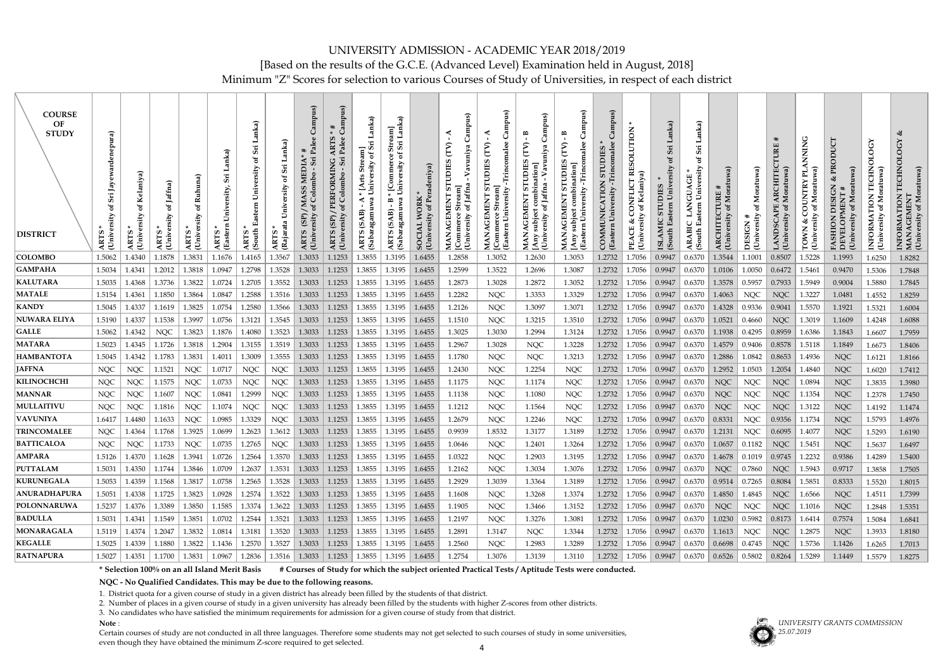Minimum "Z" Scores for selection to various Courses of Study of Universities, in respect of each district

| <b>COURSE</b><br>OF<br><b>STUDY</b><br><b>DISTRICT</b> | <b>ra</b><br>ARTS<br>Unive | ARTS *<br>Univers | Jaffna)<br><b>ARTS</b><br>Univ | ă<br>(University<br><b>ARTS</b> | ersity,<br>(Eastern<br><b>ARTS</b> | mka)<br>Sii<br>ಕ<br>South<br><b>ART</b> | anka)<br>Sii<br>Rajara<br>ART | Campus)<br>Palee<br><b>MEDIA</b><br>Colombo<br>SS<br>MA<br>(3P)<br>(Unive:<br><b>ARTS</b> | ARTS<br>PERFORMING<br>(SP)<br>ARTS<br>(Unive | Lanka<br>Stream]<br>sity of Sri<br>ðf<br>University<br>[Arts<br>agamuwa<br>≺<br>(SAB)<br>Sabar:<br>ТS<br>AR <sup>1</sup> | Lanka)<br>$_{\rm{stre}}$<br>Sri<br>ð<br>University<br>Commer<br>ʻin,<br>B<br>gamu<br>(SAR)<br>Sabar<br><b>ARTS</b> | eniya)<br><b>WORK</b><br><b>Universit</b><br>SOCIAL | ヒ<br>ဖာ<br>UDIE<br>5<br>of Jaffn<br>⊢<br><b>GEMEN</b><br><b>University</b><br>≺<br>MAN.<br>Comu | 5<br>University<br>MANAGEMENT<br>Eastern | <b>GD</b><br>m<br>Jaffna<br>ಕ<br>(University<br><b>MAN</b> | <u>ଜ</u><br>්<br>B<br>malee<br><b>UDIES</b><br>-Trincc<br>University<br>⊢<br><b>GEMEN</b><br>Eastern<br>⋖<br>MAN,<br>[Any s | $\overline{\mathbf{s}}$<br>Trincomale<br><b>STUDIES</b><br>COMMUNICATION<br>niversity<br>(Eastern | CONFLICT RESOLUTION<br>Kelaniy<br>ď<br>చి<br>පු<br>Univ<br>PEA | Sri<br>$\mathfrak{b}$<br>Univ<br>stern<br>(South<br><b>ISLA</b> | Lanka)<br>Sri<br>ัธ<br>$\overline{\text{Univ}}$<br>NGU<br>stern<br>ВIС<br>(South<br><b>ARA</b> | Moratuwa)<br>ARCHITECTURE<br>ă<br>(University | $\widehat{\mathbf{e}}$<br>Mor<br>৳<br>ersity<br>#<br>DESIGN<br>$\overline{\text{Univ}}$ | Moratuw<br>(University<br><b>LAND</b>                              | Moratu<br><b>OUNTR</b><br>ಕ<br>(University<br><b>LOMN</b> | UCT<br><b>DESIGN</b><br><b>University</b><br>FASHION<br>DEVELOPI | <b>OLOGY</b><br>TECHN<br>of Moratuwa)<br>INFORMATION<br>(University | ○<br><b>TECHN</b><br>(University of Moratuwa)<br>INFORMATION<br>MANAGEMENT |
|--------------------------------------------------------|----------------------------|-------------------|--------------------------------|---------------------------------|------------------------------------|-----------------------------------------|-------------------------------|-------------------------------------------------------------------------------------------|----------------------------------------------|--------------------------------------------------------------------------------------------------------------------------|--------------------------------------------------------------------------------------------------------------------|-----------------------------------------------------|-------------------------------------------------------------------------------------------------|------------------------------------------|------------------------------------------------------------|-----------------------------------------------------------------------------------------------------------------------------|---------------------------------------------------------------------------------------------------|----------------------------------------------------------------|-----------------------------------------------------------------|------------------------------------------------------------------------------------------------|-----------------------------------------------|-----------------------------------------------------------------------------------------|--------------------------------------------------------------------|-----------------------------------------------------------|------------------------------------------------------------------|---------------------------------------------------------------------|----------------------------------------------------------------------------|
| <b>COLOMBO</b>                                         | 1.5062                     | 1.4340            | 1.1878                         | 1.3831                          | 1.1676                             | 1.4165                                  | 1.3567                        | 1.3033                                                                                    | 1.1253                                       | 1.3855                                                                                                                   | 1.3195                                                                                                             | 1.6455                                              | 1.2858                                                                                          | 1.3052                                   | 1.2630                                                     | 1.3053                                                                                                                      | 1.2732                                                                                            | 1.7056                                                         | 0.9947                                                          | 0.6370                                                                                         | 1.3544                                        | 1.1001                                                                                  | 0.8507                                                             | 1.5228                                                    | 1.1993                                                           | 1.6250                                                              | 1.8282                                                                     |
| <b>GAMPAHA</b>                                         | 1.5034                     | 1.4341            | 1.2012                         | 1.3818                          | 1.0947                             | 1.2798                                  | 1.3528                        | 1.3033                                                                                    | 1.1253                                       | 1.3855                                                                                                                   | 1.3195                                                                                                             | 1.6455                                              | 1.2599                                                                                          | 1.3522                                   | 1.2696                                                     | 1.3087                                                                                                                      | 1.2732                                                                                            | 1.7056                                                         | 0.9947                                                          | 0.6370                                                                                         | 1.0106                                        | 1.0050                                                                                  | 0.6472                                                             | 1.5461                                                    | 0.9470                                                           | 1.5306                                                              | 1.7848                                                                     |
| <b>KALUTARA</b>                                        | 1.5035                     | 1.4368            | 1.3736                         | 1.3822                          | 1.0724                             | 1.2705                                  | 1.3552                        | 1.3033                                                                                    | 1.1253                                       | 1.3855                                                                                                                   | 1.3195                                                                                                             | 1.6455                                              | 1.2873                                                                                          | 1.3028                                   | 1.2872                                                     | 1.3052                                                                                                                      | 1.2732                                                                                            | 1.7056                                                         | 0.9947                                                          | 0.6370                                                                                         | 1.3578                                        | 0.5957                                                                                  | 0.7933                                                             | 1.5949                                                    | 0.9004                                                           | 1.5880                                                              | 1.7845                                                                     |
| <b>MATALE</b><br><b>KANDY</b>                          | 1.5154<br>1.5045           | 1.4361<br>1.4337  | 1.1850<br>1.1619               | 1.3864<br>1.3825                | 1.0847<br>1.0754                   | 1.2588<br>1.2580                        | 1.3516<br>1.3566              | 1.3033<br>1.3033                                                                          | 1.1253<br>1.1253                             | 1.3855<br>1.3855                                                                                                         | 1.3195<br>1.3195                                                                                                   | 1.6455<br>1.6455                                    | 1.2282<br>1.2126                                                                                | <b>NQC</b><br><b>NQC</b>                 | 1.3353<br>1.3097                                           | 1.3329<br>1.3071                                                                                                            | 1.2732<br>1.2732                                                                                  | 1.7056<br>1.7056                                               | 0.9947<br>0.9947                                                | 0.6370<br>0.6370                                                                               | 1.4063<br>1.4328                              | <b>NQC</b><br>0.9336                                                                    | <b>NQC</b><br>0.9041                                               | 1.3227<br>1.5570                                          | 1.0481<br>1.1921                                                 | 1.4552                                                              | 1.8259<br>1.6004                                                           |
| <b>NUWARA ELIYA</b>                                    | 1.5190                     | 1.4337            | 1.1538                         | 1.3997                          | 1.0756                             | 1.3121                                  | 1.3545                        | 1.3033                                                                                    | 1.1253                                       | 1.3855                                                                                                                   | 1.3195                                                                                                             | 1.6455                                              | 1.1510                                                                                          | <b>NQC</b>                               | 1.3215                                                     | 1.3510                                                                                                                      | 1.2732                                                                                            | 1.7056                                                         | 0.9947                                                          | 0.6370                                                                                         | 1.0521                                        | 0.4660                                                                                  | <b>NQC</b>                                                         | 1.3019                                                    | 1.1609                                                           | 1.5321<br>1.4248                                                    | 1.6088                                                                     |
| <b>GALLE</b>                                           | 1.5062                     | 1.4342            | <b>NQC</b>                     | 1.3823                          | 1.1876                             | 1.4080                                  | 1.3523                        | 1.3033                                                                                    | 1.1253                                       | 1.3855                                                                                                                   | 1.3195                                                                                                             | 1.6455                                              | 1.3025                                                                                          | 1.3030                                   | 1.2994                                                     | 1.3124                                                                                                                      | 1.2732                                                                                            | 1.7056                                                         | 0.9947                                                          | 0.6370                                                                                         | 1.1938                                        | 0.4295                                                                                  | 0.8959                                                             | 1.6386                                                    | 1.1843                                                           | 1.6607                                                              | 1.7959                                                                     |
| <b>MATARA</b>                                          | 1.5023                     | 1.4345            | 1.1726                         | 1.3818                          | 1.2904                             | 1.3155                                  | 1.3519                        | 1.3033                                                                                    | 1.1253                                       | 1.3855                                                                                                                   | 1.3195                                                                                                             | 1.6455                                              | 1.2967                                                                                          | 1.3028                                   | <b>NQC</b>                                                 | 1.3228                                                                                                                      | 1.2732                                                                                            | 1.7056                                                         | 0.9947                                                          | 0.6370                                                                                         | 1.4579                                        | 0.9406                                                                                  | 0.8578                                                             | 1.5118                                                    | 1.1849                                                           | 1.6673                                                              | 1.8406                                                                     |
| <b>HAMBANTOTA</b>                                      | 1.5045                     | 1.4342            | 1.1783                         | 1.3831                          | 1.4011                             | 1.3009                                  | 1.3555                        | 1.3033                                                                                    | 1.1253                                       | 1.3855                                                                                                                   | 1.3195                                                                                                             | 1.6455                                              | 1.1780                                                                                          | <b>NQC</b>                               | <b>NQC</b>                                                 | 1.3213                                                                                                                      | 1.2732                                                                                            | 1.7056                                                         | 0.9947                                                          | 0.6370                                                                                         | 1.2886                                        | 1.0842                                                                                  | 0.8653                                                             | 1.4936                                                    | <b>NQC</b>                                                       | 1.6121                                                              | 1.8166                                                                     |
| <b>JAFFNA</b>                                          | <b>NQC</b>                 | <b>NQC</b>        | 1.1521                         | <b>NQC</b>                      | 1.0717                             | <b>NQC</b>                              | <b>NQC</b>                    | 1.3033                                                                                    | 1.1253                                       | 1.3855                                                                                                                   | 1.3195                                                                                                             | 1.6455                                              | 1.2430                                                                                          | <b>NQC</b>                               | 1.2254                                                     | <b>NQC</b>                                                                                                                  | 1.2732                                                                                            | 1.7056                                                         | 0.9947                                                          | 0.6370                                                                                         | 1.2952                                        | 1.0503                                                                                  | 1.2054                                                             | 1.4840                                                    | <b>NQC</b>                                                       | 1.6020                                                              | 1.7412                                                                     |
| <b>KILINOCHCHI</b>                                     | <b>NQC</b>                 | <b>NQC</b>        | 1.1575                         | <b>NQC</b>                      | 1.0733                             | <b>NQC</b>                              | <b>NQC</b>                    | 1.3033                                                                                    | 1.1253                                       | 1.3855                                                                                                                   | 1.3195                                                                                                             | 1.6455                                              | 1.1175                                                                                          | <b>NQC</b>                               | 1.1174                                                     | <b>NQC</b>                                                                                                                  | 1.2732                                                                                            | 1.7056                                                         | 0.9947                                                          | 0.6370                                                                                         | <b>NQC</b>                                    | <b>NQC</b>                                                                              | <b>NQC</b>                                                         | 1.0894                                                    | <b>NQC</b>                                                       | 1.3835                                                              | 1.3980                                                                     |
| <b>MANNAR</b>                                          | <b>NQC</b>                 | <b>NQC</b>        | 1.1607                         | <b>NQC</b>                      | 1.0841                             | 1.2999                                  | <b>NQC</b>                    | 1.3033                                                                                    | 1.1253                                       | 1.3855                                                                                                                   | 1.3195                                                                                                             | 1.6455                                              | 1.1138                                                                                          | <b>NQC</b>                               | 1.1080                                                     | <b>NQC</b>                                                                                                                  | 1.2732                                                                                            | 1.7056                                                         | 0.9947                                                          | 0.6370                                                                                         | <b>NQC</b>                                    | <b>NQC</b>                                                                              | $\rm NQC$                                                          | 1.1354                                                    | <b>NQC</b>                                                       | 1.2378                                                              | 1.7450                                                                     |
| <b>MULLAITIVU</b>                                      | <b>NQC</b>                 | <b>NQC</b>        | 1.1816                         | <b>NQC</b>                      | 1.1074                             | <b>NQC</b>                              | <b>NQC</b>                    | 1.3033                                                                                    | 1.1253                                       | 1.3855                                                                                                                   | 1.3195                                                                                                             | 1.6455                                              | 1.1212                                                                                          | <b>NQC</b>                               | 1.1564                                                     | <b>NQC</b>                                                                                                                  | 1.2732                                                                                            | 1.7056                                                         | 0.9947                                                          | 0.6370                                                                                         | <b>NQC</b>                                    | <b>NQC</b>                                                                              | <b>NQC</b>                                                         | 1.3122                                                    | <b>NQC</b>                                                       | 1.4192                                                              | 1.1474                                                                     |
| <b>VAVUNIYA</b>                                        | 1.6417                     | 1.4480            | 1.1633                         | <b>NQC</b>                      | 1.0985                             | 1.3329                                  | <b>NQC</b>                    | 1.3033                                                                                    | 1.1253                                       | 1.3855                                                                                                                   | 1.3195                                                                                                             | 1.6455                                              | 1.2679                                                                                          | <b>NQC</b>                               | 1.2246                                                     | <b>NQC</b>                                                                                                                  | 1.2732                                                                                            | 1.7056                                                         | 0.9947                                                          | 0.6370                                                                                         | 0.8331                                        | <b>NQC</b>                                                                              | 0.9356                                                             | 1.1734                                                    | <b>NQC</b>                                                       | 1.5793                                                              | 1.4976                                                                     |
| <b>TRINCOMALEE</b>                                     | <b>NQC</b>                 | 1.4364            | 1.1768                         | 1.3925                          | 1.0699                             | 1.2623                                  | 1.3612                        | 1.3033                                                                                    | 1.1253                                       | .3855                                                                                                                    | 1.3195                                                                                                             | 1.6455                                              | 0.9939                                                                                          | 1.8532                                   | 1.3177                                                     | 1.3189                                                                                                                      | 1.2732                                                                                            | 1.7056                                                         | 0.9947                                                          | 0.6370                                                                                         | 1.2131                                        | <b>NQC</b>                                                                              | 0.6095                                                             | 1.4077                                                    | <b>NQC</b>                                                       | 1.5293                                                              | 1.6190                                                                     |
| <b>BATTICALOA</b>                                      | <b>NQC</b>                 | <b>NQC</b>        | 1.1733                         | <b>NOC</b>                      | 1.0735                             | 1.2765                                  | <b>NOC</b>                    | 1.3033                                                                                    | 1.1253                                       | .3855                                                                                                                    | 1.3195                                                                                                             | 1.6455                                              | 1.0646                                                                                          | <b>NQC</b>                               | 1.2401                                                     | 1.3264                                                                                                                      | 1.2732                                                                                            | 1.7056                                                         | 0.9947                                                          | 0.6370                                                                                         | 1.0657                                        | 0.1182                                                                                  | <b>NQC</b>                                                         | 1.5451                                                    | <b>NQC</b>                                                       | 1.5637                                                              | 1.6497                                                                     |
| <b>AMPARA</b>                                          | 1.5126                     | 1.4370            | 1.1628                         | 1.3941                          | 1.0726                             | 1.2564                                  | 1.3570                        | 1.3033                                                                                    | 1.1253                                       | 1.3855                                                                                                                   | 1.3195                                                                                                             | 1.6455                                              | 1.0322                                                                                          | <b>NQC</b>                               | 1.2903                                                     | 1.3195                                                                                                                      | 1.2732                                                                                            | 1.7056                                                         | 0.9947                                                          | 0.6370                                                                                         | 1.4678                                        | 0.1019                                                                                  | 0.9745                                                             | 1.2232                                                    | 0.9386                                                           | 1.4289                                                              | 1.5400                                                                     |
| <b>PUTTALAM</b>                                        | 1.5031                     | 1.4350            | 1.1744                         | 1.3846                          | 1.0709                             | 1.2637                                  | 1.3531                        | 1.3033                                                                                    | 1.1253                                       | $1.3855$   1.3195                                                                                                        |                                                                                                                    | 1.6455                                              | 1.2162                                                                                          | NQC                                      | 1.3034                                                     | 1.3076                                                                                                                      |                                                                                                   | $1.2732$   1.7056                                              | 0.9947                                                          | 0.6370                                                                                         | <b>NQC</b>                                    | 0.7860                                                                                  | <b>NQC</b>                                                         | 1.5943                                                    | 0.9717                                                           | 1.3858                                                              | 1.7505                                                                     |
| <b>KURUNEGALA</b>                                      | 1.5053                     | 1.4359            | 1.1568                         | 1.3817                          | 1.0758                             | 1.2565                                  | 1.3528                        | 1.3033                                                                                    | 1.1253                                       | 1.3855 1.3195                                                                                                            |                                                                                                                    | 1.6455                                              | 1.2929                                                                                          | 1.3039                                   | 1.3364                                                     | 1.3189                                                                                                                      |                                                                                                   | $1.2732$   1.7056                                              | 0.9947                                                          |                                                                                                | $\mid$ 0.6370 $\mid$ 0.9514 $\mid$ 0.7265     |                                                                                         | 0.8084                                                             | 1.5851                                                    | 0.8333                                                           | 1.5520                                                              | 1.8015                                                                     |
| <b>ANURADHAPURA</b>                                    | 1.5051                     | $1.4338$          | 1.1725                         | 1.3823                          | 1.0928                             | 1.2574                                  | 1.3522                        | 1.3033                                                                                    | $ 1.1253\rangle$                             | $1.3855$   1.3195                                                                                                        |                                                                                                                    | 1.6455                                              | 1.1608                                                                                          | NQC                                      | 1.3268                                                     | 1.3374                                                                                                                      |                                                                                                   | 1.2732 1.7056                                                  | 0.9947                                                          |                                                                                                | $0.6370$   1.4850                             | 1.4845                                                                                  | <b>NQC</b>                                                         | 1.6566                                                    | <b>NQC</b>                                                       | 1.4511                                                              | 1.7399                                                                     |
| POLONNARUWA                                            | 1.5237                     | 1.4376            | 1.3389                         | 1.3850                          | 1.1585                             | 1.3374                                  | 1.3622                        | 1.3033                                                                                    | 1.1253                                       | 1.3855                                                                                                                   | 1.3195                                                                                                             | 1.6455                                              | 1.1905                                                                                          | NQC                                      | 1.3466                                                     | 1.3152                                                                                                                      | 1.2732                                                                                            | 1.7056                                                         | 0.9947                                                          | 0.6370                                                                                         | <b>NQC</b>                                    | NQC                                                                                     | <b>NQC</b>                                                         | 1.1016                                                    | <b>NQC</b>                                                       | 1.2848                                                              | 1.5351                                                                     |
| <b>BADULLA</b>                                         | 1.5031                     | 1.4341            | 1.1549                         | 1.3851                          | 1.0702                             | 1.2544                                  | 1.3521                        | 1.3033                                                                                    | 1.1253                                       | 1.3855                                                                                                                   | 1.3195                                                                                                             | 1.6455                                              | 1.2197                                                                                          | NQC                                      | 1.3276                                                     | 1.3081                                                                                                                      | 1.2732                                                                                            | 1.7056                                                         | 0.9947                                                          | 0.6370                                                                                         | 1.0230                                        | 0.5982                                                                                  | 0.8173                                                             | 1.6414                                                    | 0.7574                                                           | 1.5084                                                              | 1.6841                                                                     |
| <b>MONARAGALA</b>                                      | 1.5119                     | 1.4374            | 1.2047                         | 1.3832                          | 1.0814                             | 1.3181                                  | 1.3520                        | 1.3033                                                                                    | 1.1253                                       | 1.3855                                                                                                                   | 1.3195                                                                                                             | 1.6455                                              | 1.2891                                                                                          | 1.3147                                   | <b>NQC</b>                                                 | 1.3344                                                                                                                      | 1.2732                                                                                            | 1.7056                                                         | 0.9947                                                          | $\mid$ 0.6370   1.1613                                                                         |                                               | NQC                                                                                     | <b>NQC</b>                                                         | 1.2875                                                    | <b>NQC</b>                                                       | 1.3933                                                              | 1.8180                                                                     |
| <b>KEGALLE</b>                                         | 1.5025                     | 1.4339            | 1.1880                         | 1.3822                          | 1.1436                             | 1.2570                                  | 1.3527                        | 1.3033                                                                                    | 1.1253                                       | 1.3855   1.3195                                                                                                          |                                                                                                                    | 1.6455                                              | 1.2560                                                                                          | NQC                                      | 1.2983                                                     | 1.3289                                                                                                                      |                                                                                                   | $1.2732$   1.7056                                              | 0.9947                                                          | $0.6370$ 0.6698                                                                                |                                               | 0.4745                                                                                  | <b>NQC</b>                                                         | 1.5736                                                    | 1.1426                                                           | 1.6265                                                              | 1.7013                                                                     |
| <b>RATNAPURA</b>                                       | 1.5027                     | 1.4351            | 1.1700                         | 1.3831                          | 1.0967                             | 1.2836                                  | 1.3516                        |                                                                                           |                                              | $1.3033$   1.1253   1.3855   1.3195   1.6455                                                                             |                                                                                                                    |                                                     | 1.2754                                                                                          | 1.3076                                   | 1.3139                                                     | 1.3110                                                                                                                      |                                                                                                   | $1.2732$   1.7056   0.9947                                     |                                                                 |                                                                                                |                                               |                                                                                         | $\vert 0.6370 \vert 0.6526 \vert 0.5802 \vert 0.8264 \vert 1.5289$ |                                                           | 1.1449                                                           | 1.5579                                                              | 1.8275                                                                     |

**\* Selection 100% on an all Island Merit Basis # Courses of Study for which the subject oriented Practical Tests / Aptitude Tests were conducted.**

**NQC - No Qualified Candidates. This may be due to the following reasons.**

1. District quota for a given course of study in a given district has already been filled by the students of that district.

2. Number of places in a given course of study in a given university has already been filled by the students with higher Z-scores from other districts.

3. No candidates who have satisfied the minimum requirements for admission for a given course of study from that district.

**Note** :

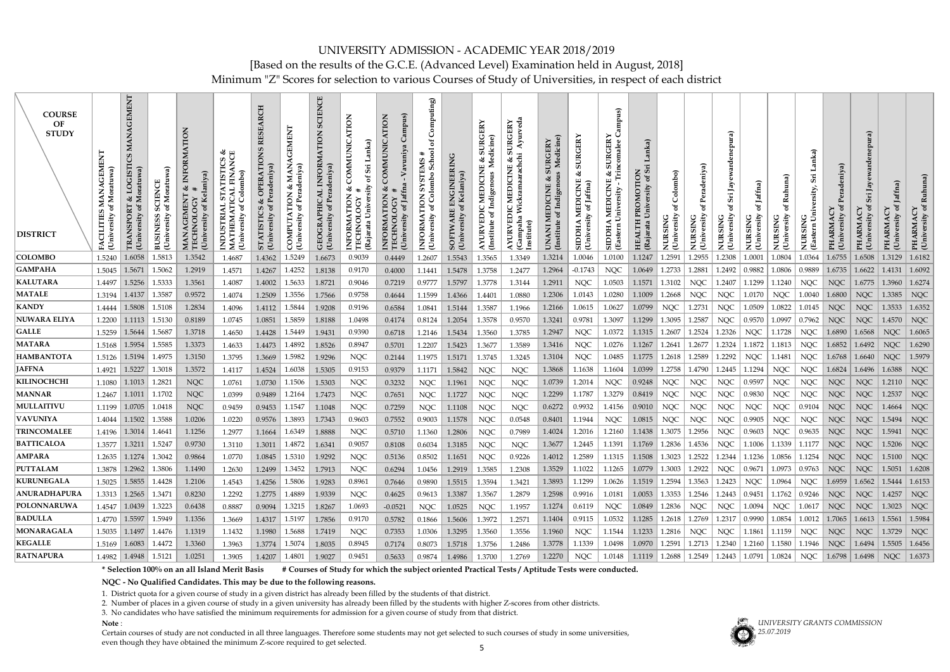### UNIVERSITY ADMISSION - ACADEMIC YEAR 2018/2019 [Based on the results of the G.C.E. (Advanced Level) Examination held in August, 2018] Minimum "Z" Scores for selection to various Courses of Study of Universities, in respect of each district

| <b>COURSE</b><br>OF<br><b>STUDY</b><br><b>DISTRICT</b> | MANAGEMEN<br>Moratuwa)<br>CILITIES<br>(University | EMENT<br>Ū<br>LOGIS<br>$\frac{1}{2}$<br>ិច<br><b>TRAN</b><br>Univ | of Moratuwa)<br><b>SCIENCE</b><br>(University<br><b>BUSINES</b> | RMATION<br>Kelaniya)<br>త<br><b>GEMENT</b><br>(University<br><b>TECHNOL</b> | <b>TISTICS &amp;<br/>FINANCE</b><br>of Colombo)<br>STA<br>INDUSTRIAL<br>MATHEMATIO<br><b>University</b> | <b>RESEARCH</b><br><b>OPERATIONS</b><br>త<br>ð<br><b>STATISTICS</b><br><b>University</b> | <b>TION &amp; MANA</b><br>of Peradeniya)<br>⋖<br>rsity<br>COMPUT.<br>(Univer | CIENCE<br><b>NOLI</b><br><b>INFORM</b><br>GEOGRAPHIC<br>(University of 1 | <b>COMMUNIC</b><br>త<br><b>INFORMA</b><br>(Rajarata<br>TECHN | <b>COMMUNICATION</b><br>ॳ<br>of Jaffn<br>TION<br>INFORMA<br>TECHNOL<br>(Unive | Computing)<br>`ಕ<br><b>School</b><br>U.<br>Colombo<br>INFORMATION<br>F<br>University | <b>SOFTWARE ENGINEERING</b><br>Kelaniya)<br>ă<br>(University | <b>SURGERY</b><br>dicine<br>ళ<br>Š<br>MEDICINE<br>AYURVEDIC ]<br>(Institute of In | Ayurveda<br>UR <sub>G</sub><br>arachchi<br>ళ<br>Wickrama<br>(nstitute) | iURGERY<br>Medicine)<br>S<br>ళ<br>MEDICINE<br>te of Indigenc<br>UNANI ]<br>(Institute | <b>SURGERY</b><br>ళ<br>SIDDHA MEDICINE<br>(University of Jaffna) | mpus)<br>Trincomalee<br><b>URG</b><br>University<br>NEDIC<br>Eastern              | Lanka)<br>Sri<br>PROMOTION<br>ð<br>University<br>(Rajara | oq<br>Colom<br>৳<br>ڻ<br><b>NURSIN<br/>(Universi</b> | (Unive:           | ಕೆ<br><b>N</b><br>Jay<br>Sri<br>rsity<br>ى<br>NURSIN<br>(Universi | of Jaffna)<br><b>University</b><br>NURSING | ≃<br>ى<br><b>NURSIN<br/>Universi</b>                                          | Lanka)<br>$S_{11}$<br>Univer<br>(Eastern | PHARMA<br>(Univer                            | ewardenepura)<br>Jay<br>Sri<br>ð<br>PHARMA<br>Univ | PHARMA               | Ruhuna)<br>ð<br>(University<br>PHARMA |
|--------------------------------------------------------|---------------------------------------------------|-------------------------------------------------------------------|-----------------------------------------------------------------|-----------------------------------------------------------------------------|---------------------------------------------------------------------------------------------------------|------------------------------------------------------------------------------------------|------------------------------------------------------------------------------|--------------------------------------------------------------------------|--------------------------------------------------------------|-------------------------------------------------------------------------------|--------------------------------------------------------------------------------------|--------------------------------------------------------------|-----------------------------------------------------------------------------------|------------------------------------------------------------------------|---------------------------------------------------------------------------------------|------------------------------------------------------------------|-----------------------------------------------------------------------------------|----------------------------------------------------------|------------------------------------------------------|-------------------|-------------------------------------------------------------------|--------------------------------------------|-------------------------------------------------------------------------------|------------------------------------------|----------------------------------------------|----------------------------------------------------|----------------------|---------------------------------------|
| <b>COLOMBO</b>                                         | 1.5240                                            | 1.6058                                                            | 1.5813                                                          | 1.3542                                                                      | 1.4687                                                                                                  | 1.4362                                                                                   | 1.5249                                                                       | 1.6673                                                                   | 0.9039                                                       | 0.4449                                                                        | 1.2607                                                                               | 1.5543                                                       | 1.3565                                                                            | 1.3349                                                                 | 1.3214                                                                                | 1.0046                                                           | 1.0100                                                                            | 1.1247                                                   | 1.2591                                               | 1.2955            | 1.2308                                                            | 1.0001                                     | 1.0804                                                                        | 1.0364                                   | 1.6755                                       | 1.6508                                             | 1.3129               | 1.6182                                |
| <b>GAMPAHA</b>                                         | 1.5045                                            | 1.5671                                                            | 1.5062                                                          | 1.2919                                                                      | 1.4571                                                                                                  | 1.4267                                                                                   | 1.4252                                                                       | 1.8138                                                                   | 0.9170                                                       | 0.4000                                                                        | 1.1441                                                                               | 1.5478                                                       | 1.3758                                                                            | 1.2477                                                                 | 1.2964                                                                                | $-0.1743$                                                        | <b>NQC</b>                                                                        | 1.0649                                                   | 1.2733                                               | 1.2881            | 1.2492                                                            | 0.9882                                     | 1.0806                                                                        | 0.9889                                   | 1.6735                                       | 1.6622                                             | 1.4131               | 1.6092                                |
| <b>KALUTARA</b>                                        | 1.4497                                            | 1.5256                                                            | 1.5333                                                          | 1.3561                                                                      | 1.4087                                                                                                  | 1.4002                                                                                   | 1.5633                                                                       | 1.8721                                                                   | 0.9046                                                       | 0.7219                                                                        | 0.9777                                                                               | 1.5797                                                       | 1.3778                                                                            | 1.3144                                                                 | 1.2911                                                                                | <b>NQC</b>                                                       | 1.0503                                                                            | 1.1571                                                   | 1.3102                                               | <b>NQC</b>        | 1.2407                                                            | 1.1299                                     | 1.1240                                                                        | NQC                                      | NQC                                          | 1.6775                                             | 1.3960               | 1.6274                                |
| <b>MATALE</b>                                          | 1.3194                                            | 1.4137                                                            | 1.3587                                                          | 0.9572                                                                      | 1.4074                                                                                                  | 1.2509                                                                                   | 1.3556                                                                       | 1.7566                                                                   | 0.9758                                                       | 0.4644                                                                        | 1.1599                                                                               | 1.4366                                                       | 1.4401                                                                            | 1.0880                                                                 | 1.2306                                                                                | 1.0143                                                           | 1.0280                                                                            | 1.1009                                                   | 1.2668                                               | <b>NQC</b>        | <b>NQC</b>                                                        | 1.0170                                     | <b>NQC</b>                                                                    | 1.0040                                   | 1.6800                                       | <b>NQC</b>                                         | 1.3385               | <b>NQC</b>                            |
| <b>KANDY</b>                                           | 1.4444                                            | 1.5808                                                            | 1.5108                                                          | 1.2834                                                                      | 1.4096                                                                                                  | 1.4112                                                                                   | 1.5844                                                                       | 1.9208                                                                   | 0.9196                                                       | 0.6584                                                                        | 1.0841                                                                               | 1.5144                                                       | 1.3587                                                                            | 1.1966                                                                 | 1.2166                                                                                | 1.0615                                                           | 1.0627                                                                            | 1.0799                                                   | <b>NQC</b>                                           | 1.2731            | NQC                                                               | 1.0509                                     | 1.0822                                                                        | 1.0145                                   | NQC                                          | NQC                                                | 1.3533               | $1.6352$                              |
| <b>NUWARA ELIYA</b>                                    | 1.2200                                            | $1.1113$ 1.5130                                                   |                                                                 | 0.8189                                                                      | 1.0745                                                                                                  | 1.0851                                                                                   | 1.5859                                                                       | 1.8188                                                                   | 1.0498                                                       | 0.4174                                                                        | 0.8124                                                                               | 1.2054                                                       | 1.3578                                                                            | 0.9570                                                                 | 1.3241                                                                                | 0.9781                                                           | 1.3097                                                                            | 1.1299                                                   | 1.3095                                               | 1.2587            | <b>NQC</b>                                                        | 0.9570                                     | 1.0997                                                                        | 0.7962                                   | NQC                                          | <b>NQC</b>                                         | 1.4570               | $\mid$ NQC                            |
| <b>GALLE</b>                                           | 1.5259                                            | 1.5644                                                            | 1.5687                                                          | 1.3718                                                                      | 1.4650                                                                                                  | 1.4428                                                                                   | 1.5449                                                                       | 1.9431                                                                   | 0.9390                                                       | 0.6718                                                                        | 1.2146                                                                               | 1.5434                                                       | 1.3560                                                                            | 1.3785                                                                 | 1.2947                                                                                | <b>NQC</b>                                                       | 1.0372                                                                            | 1.1315                                                   | 1.2607                                               | 1.2524            | 1.2326                                                            | <b>NQC</b>                                 | 1.1728                                                                        | <b>NQC</b>                               | 1.6890                                       | 1.6568                                             | <b>NQC</b>           | 1.6065                                |
| <b>MATARA</b>                                          | 1.5168                                            | 1.5954                                                            | 1.5585                                                          | 1.3373                                                                      | 1.4633                                                                                                  | 1.4473                                                                                   | 1.4892                                                                       | 1.8526                                                                   | 0.8947                                                       | 0.5701                                                                        | 1.2207                                                                               | 1.5423                                                       | 1.3677                                                                            | 1.3589                                                                 | 1.3416                                                                                | <b>NQC</b>                                                       | 1.0276                                                                            | 1.1267                                                   | 1.2641                                               | 1.2677            | 1.2324                                                            | 1.1872                                     | 1.1813                                                                        | NQC                                      | 1.6852                                       | 1.6492                                             | <b>NQC</b>           | 1.6290                                |
| <b>HAMBANTOTA</b>                                      | 1.5126                                            | $\vert 1.5194 \vert$                                              | 1.4975                                                          | 1.3150                                                                      | 1.3795                                                                                                  | 1.3669                                                                                   | 1.5982                                                                       | 1.9296                                                                   | <b>NQC</b>                                                   | 0.2144                                                                        | 1.1975                                                                               | 1.5171                                                       | 1.3745                                                                            | 1.3245                                                                 | 1.3104                                                                                | <b>NQC</b>                                                       | 1.0485                                                                            | 1.1775                                                   | 1.2618                                               | 1.2589            | 1.2292                                                            | <b>NQC</b>                                 | 1.1481                                                                        | <b>NQC</b>                               | 1.6768                                       | 1.6640                                             | <b>NQC</b>           | 1.5979                                |
| <b>JAFFNA</b>                                          | 1.4921                                            | 1.5227                                                            | 1.3018                                                          | 1.3572                                                                      | 1.4117                                                                                                  | 1.4524                                                                                   | 1.6038                                                                       | 1.5305                                                                   | 0.9153                                                       | 0.9379                                                                        | 1.1171                                                                               | 1.5842                                                       | <b>NQC</b>                                                                        | <b>NQC</b>                                                             | 1.3868                                                                                | 1.1638                                                           | 1.1604                                                                            | 1.0399                                                   | 1.2758                                               | 1.4790            | 1.2445                                                            | 1.1294                                     | <b>NQC</b>                                                                    | <b>NQC</b>                               | 1.6824                                       | 1.6496                                             | 1.6388               | <b>NQC</b>                            |
| <b>KILINOCHCHI</b>                                     | 1.1080                                            | $\mid 1.1013 \mid$                                                | 1.2821                                                          | <b>NQC</b>                                                                  | 1.0761                                                                                                  | 1.0730                                                                                   | 1.1506                                                                       | 1.5303                                                                   | <b>NQC</b>                                                   | 0.3232                                                                        | <b>NQC</b>                                                                           | 1.1961                                                       | <b>NQC</b>                                                                        | <b>NQC</b>                                                             | 1.0739                                                                                | 1.2014                                                           | <b>NQC</b>                                                                        | 0.9248                                                   | <b>NQC</b>                                           | <b>NQC</b>        | NQC                                                               | 0.9597                                     | <b>NQC</b>                                                                    | <b>NQC</b>                               | NQC                                          | <b>NQC</b>                                         | 1.2110               | <b>NQC</b>                            |
| <b>MANNAR</b>                                          | 1.2467                                            | 1.1011                                                            | 1.1702                                                          | <b>NQC</b>                                                                  | 1.0399                                                                                                  | 0.9489                                                                                   | 1.2164                                                                       | 1.7473                                                                   | <b>NQC</b>                                                   | 0.7651                                                                        | <b>NQC</b>                                                                           | 1.1727                                                       | <b>NQC</b>                                                                        | <b>NQC</b>                                                             | 1.2299                                                                                | 1.1787                                                           | 1.3279                                                                            | 0.8419                                                   | <b>NQC</b>                                           | <b>NQC</b>        | <b>NQC</b>                                                        | 0.9830                                     | <b>NQC</b>                                                                    | <b>NQC</b>                               | <b>NQC</b>                                   | <b>NQC</b>                                         | 1.2537               | <b>NQC</b>                            |
| MULLAITIVU                                             | 1.1199                                            | 1.0705                                                            | 1.0418                                                          | <b>NQC</b>                                                                  | 0.9459                                                                                                  | 0.9453                                                                                   | 1.1547                                                                       | 1.1048                                                                   | <b>NQC</b>                                                   | 0.7259                                                                        | <b>NQC</b>                                                                           | 1.1108                                                       | <b>NQC</b>                                                                        | <b>NQC</b>                                                             | 0.6272                                                                                | 0.9932                                                           | 1.4156                                                                            | 0.9010                                                   | <b>NQC</b>                                           | <b>NQC</b>        | <b>NQC</b>                                                        | <b>NQC</b>                                 | <b>NQC</b>                                                                    | 0.9104                                   | <b>NQC</b>                                   | <b>NQC</b>                                         | 1.4664               | <b>NQC</b>                            |
| <b>VAVUNIYA</b>                                        | 1.4044                                            | $ 1.1502\rangle$                                                  | 1.3588                                                          | 1.0206                                                                      | 1.0220                                                                                                  | 0.9576                                                                                   | 1.3893                                                                       | 1.7343                                                                   | 0.9603                                                       | 0.7552                                                                        | 0.9003                                                                               | 1.1578                                                       | <b>NQC</b>                                                                        | 0.0548                                                                 | 0.8401                                                                                | 1.1944                                                           | <b>NQC</b>                                                                        | 1.0815                                                   | <b>NQC</b>                                           | <b>NQC</b>        | NQC                                                               | 0.9905                                     | <b>NQC</b>                                                                    | <b>NQC</b>                               | <b>NQC</b>                                   | <b>NQC</b>                                         | 1.5494               | <b>NQC</b>                            |
| <b>TRINCOMALEE</b>                                     | 1.4196                                            | 1.3014                                                            | 1.4641                                                          | 1.1256                                                                      | 1.2977                                                                                                  | 1.1664                                                                                   | 1.6349                                                                       | 1.8888                                                                   | <b>NQC</b>                                                   | 0.5710                                                                        | 1.1360                                                                               | 1.2806                                                       | <b>NQC</b>                                                                        | 0.7989                                                                 | 1.4024                                                                                | 1.2016                                                           | 1.2160                                                                            | 1.1438                                                   | 1.3075                                               | 1.2956            | <b>NQC</b>                                                        | 0.9603                                     | <b>NQC</b>                                                                    | 0.9635                                   | <b>NQC</b>                                   | <b>NQC</b>                                         | 1.5941               | <b>NQC</b>                            |
| <b>BATTICALOA</b>                                      | 1.3577                                            | $1.3211$ 1.5247                                                   |                                                                 | 0.9730                                                                      | 1.3110                                                                                                  |                                                                                          | $1.3011$ 1.4872                                                              | 1.6341                                                                   | 0.9057                                                       | 0.8108                                                                        | 0.6034                                                                               | 1.3185                                                       | <b>NQC</b>                                                                        | <b>NQC</b>                                                             | 1.3677                                                                                |                                                                  | 1.2445   1.1391   1.1769   1.2836   1.4536   NQC   1.1006   1.1339   1.1177   NQC |                                                          |                                                      |                   |                                                                   |                                            |                                                                               |                                          |                                              |                                                    | NQC   1.5206   NQC   |                                       |
| <b>AMPARA</b>                                          | 1.2635                                            | $1.1274$ 1.3042                                                   |                                                                 | 0.9864                                                                      | 1.0770                                                                                                  |                                                                                          | $1.0845$   1.5310                                                            | 1.9292                                                                   | <b>NQC</b>                                                   | 0.5136                                                                        | 0.8502                                                                               | 1.1651                                                       | <b>NQC</b>                                                                        | 0.9226                                                                 | 1.4012                                                                                | 1.2589                                                           | 1.1315                                                                            | 1.1508                                                   |                                                      |                   | $1.3023$   1.2522   1.2344                                        |                                            | $1.1236 \mid 1.0856$                                                          | 1.1254                                   | NQC                                          | NQC                                                | $1.5100$   NQC       |                                       |
| <b>PUTTALAM</b>                                        | 1.3878                                            | $1.2962$ 1.3806                                                   |                                                                 | 1.1490                                                                      | 1.2630                                                                                                  |                                                                                          | $1.2499$ 1.3452                                                              | 1.7913                                                                   | NQC                                                          | 0.6294                                                                        | 1.0456                                                                               | 1.2919                                                       | 1.3585                                                                            | 1.2308                                                                 | 1.3529                                                                                | 1.1022                                                           | 1.1265                                                                            | 1.0779                                                   | 1.3003                                               | 1.2922            | NQC                                                               | 0.9671                                     | 1.0973   0.9763                                                               |                                          | NQC                                          | NQC                                                | $1.5051$   1.6208    |                                       |
| <b>KURUNEGALA</b>                                      | 1.5025                                            | $1.5855$   1.4428                                                 |                                                                 | 1.2106                                                                      | 1.4543                                                                                                  |                                                                                          | $1.4256 \mid 1.5806$                                                         | 1.9283                                                                   | 0.8961                                                       | 0.7646                                                                        | 0.9890                                                                               | 1.5515                                                       | 1.3594                                                                            | 1.3421                                                                 | 1.3893                                                                                | 1.1299                                                           | 1.0626                                                                            | 1.1519                                                   |                                                      |                   | $1.2594$   1.3563   1.2423                                        | NQC                                        | 1.0964                                                                        |                                          | NQC   1.6959   1.6562   1.5444   1.6153      |                                                    |                      |                                       |
| <b>ANURADHAPURA</b>                                    |                                                   | 1.3313   1.2565   1.3471                                          |                                                                 | 0.8230                                                                      | 1.2292                                                                                                  |                                                                                          | 1.2775 1.4889                                                                | 1.9339                                                                   | <b>NQC</b>                                                   | 0.4625                                                                        | 0.9613                                                                               | 1.3387                                                       | 1.3567                                                                            | 1.2879                                                                 | 1.2598                                                                                | 0.9916                                                           | 1.0181                                                                            | 1.0053                                                   |                                                      |                   | $\mid$ 1.3353 $\mid$ 1.2546 $\mid$ 1.2443 $\mid$                  | 0.9451                                     |                                                                               |                                          | $1.1762$   0.9246   NQC                      |                                                    | NQC   $1.4257$   NQC |                                       |
| <b>POLONNARUWA</b>                                     |                                                   | 1.4547   1.0439   1.3223                                          |                                                                 | 0.6438                                                                      | 0.8887                                                                                                  | 0.9094                                                                                   | $1.3215$                                                                     | 1.8267                                                                   | 1.0693                                                       | $-0.0521$                                                                     | <b>NQC</b>                                                                           | 1.0525                                                       | NQC                                                                               | 1.1957                                                                 | 1.1274                                                                                | 0.6119                                                           | NQC                                                                               | 1.0849                                                   | 1.2836                                               | NQC               | NQC                                                               | 1.0094                                     | <b>NQC</b>                                                                    | 1.0617                                   | NQC                                          | <b>NQC</b>                                         | $1.3023$ NQC         |                                       |
| <b>BADULLA</b>                                         | 1.4770                                            | $\vert 1.5597 \vert$                                              | 1.5949                                                          | 1.1356                                                                      | 1.3669                                                                                                  | 1.4317                                                                                   | $\vert$ 1.5197                                                               | 1.7856                                                                   | 0.9170                                                       | 0.5782                                                                        | 0.1866                                                                               | 1.5606                                                       | 1.3972                                                                            | 1.2571                                                                 | 1.1404                                                                                | 0.9115                                                           | 1.0532                                                                            | 1.1285                                                   |                                                      | $1.2618$   1.2769 | $1.2317$ 0.9990                                                   |                                            | 1.0854                                                                        |                                          | $1.0012$   1.7065   1.6613   1.5561   1.5984 |                                                    |                      |                                       |
| MONARAGALA                                             | 1.5035                                            | $1.1497$ 1.4476                                                   |                                                                 | 1.1319                                                                      | 1.1432                                                                                                  | 1.1980                                                                                   | 1.5688                                                                       | 1.7419                                                                   | NQC                                                          | 0.7353                                                                        | 1.0306                                                                               | 1.3295                                                       | 1.3560                                                                            | 1.3556                                                                 | 1.1960                                                                                | <b>NQC</b>                                                       | 1.1544                                                                            | 1.1233                                                   | 1.2816                                               | NQC               | NQC                                                               | 1.1861                                     | 1.1159                                                                        | NQC                                      | NQC                                          | NQC                                                | $1.3729$ NQC         |                                       |
| <b>KEGALLE</b>                                         |                                                   | 1.5169   1.6083   1.4472                                          |                                                                 | 1.3360                                                                      | 1.3963                                                                                                  |                                                                                          | $1.3774$   1.5074                                                            | 1.8035                                                                   | 0.8945                                                       | 0.7174                                                                        | 0.8073                                                                               | 1.5718                                                       | 1.3756                                                                            | 1.2486                                                                 | 1.3778                                                                                | 1.1339                                                           | 1.0498                                                                            | 1.0970                                                   |                                                      |                   | $1.2591$   $1.2713$   $1.2340$   $1.2160$                         |                                            | 1.1580                                                                        |                                          | $1.1946$ NQC $1.6494$ 1.5505 1.6456          |                                                    |                      |                                       |
| <b>RATNAPURA</b>                                       |                                                   | 1.4982   1.4948   1.5121                                          |                                                                 | 1.0251                                                                      | 1.3905                                                                                                  |                                                                                          | $1.4207$   1.4801                                                            | 1.9027                                                                   | 0.9451                                                       | 0.5633                                                                        | 0.9874                                                                               | 1.4986                                                       | 1.3700                                                                            | 1.2769                                                                 | 1.2270                                                                                | NQC                                                              |                                                                                   |                                                          |                                                      |                   |                                                                   |                                            | 1.0148 1.1119 1.2688 1.2549 1.2443 1.0791 1.0824 NQC 1.6798 1.6498 NQC 1.6373 |                                          |                                              |                                                    |                      |                                       |

**\* Selection 100% on an all Island Merit Basis # Courses of Study for which the subject oriented Practical Tests / Aptitude Tests were conducted.**

**NQC - No Qualified Candidates. This may be due to the following reasons.**

1. District quota for a given course of study in a given district has already been filled by the students of that district.

2. Number of places in a given course of study in a given university has already been filled by the students with higher Z-scores from other districts.

3. No candidates who have satisfied the minimum requirements for admission for a given course of study from that district.

**Note** :

| . .          |  |  |  |
|--------------|--|--|--|
|              |  |  |  |
|              |  |  |  |
| ۰.<br>×<br>٩ |  |  |  |

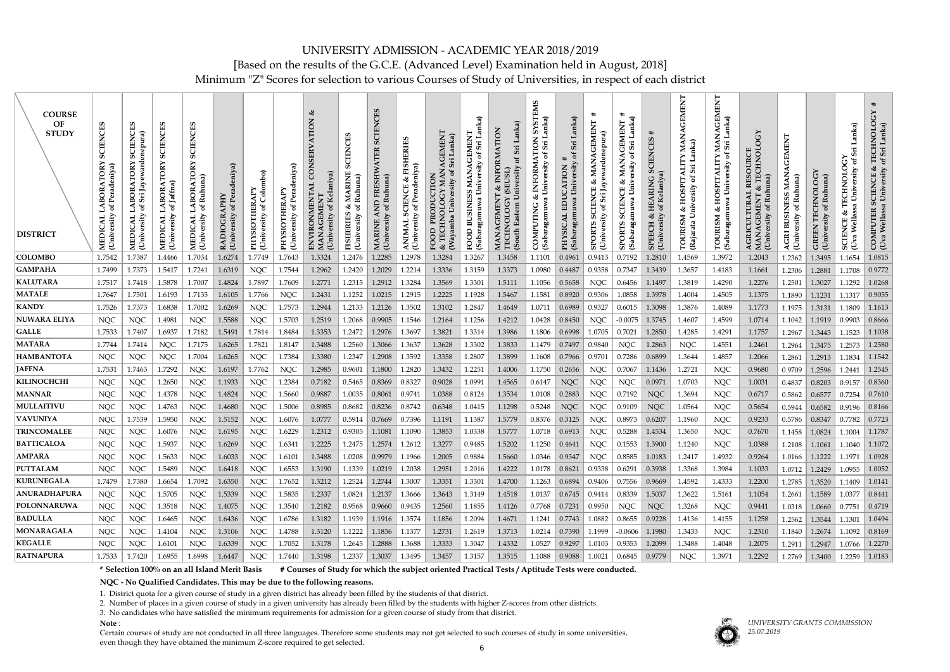Minimum "Z" Scores for selection to various Courses of Study of Universities, in respect of each district

| <b>COURSE</b><br>OF<br><b>STUDY</b><br><b>DISTRICT</b> | CIENCES<br>Ō<br>TORY<br><b>BOR</b><br>MEDICAL<br>University | <b>SCIENCES</b><br>lenepura)<br>eward<br>LABORATORY<br>Jay<br>Sri<br>ិដ<br>MEDICAL I<br>University | <b>SCIENCES</b><br><b>LABORATORY</b><br>of Jaffna)<br>$[University]% \label{thm:main} \includegraphics[width=0.8\columnwidth]{figures/t} \caption{The average of the number of samples of the data set. The average of the data set, the standard deviation of the data set, the standard deviation of the data set, and the standard deviation of the data set, and the standard deviation of the data set, and the standard deviation of the data set, and the standard deviation of the data set, and the standard deviation of the data set, and the standard deviation of the data set. The average of the data set, the standard deviation of the data set, the standard deviation of the data set, and the standard deviation of the data set, and the standard deviation of the data set. The average of the data set, the standard deviation of the data set, the standard deviation of the data set, and the standard deviation of the data set. The average of the data set, the standard deviation of the data set, the standard deviation of the data set, and the standard deviation of$<br><b>MEDICAL</b> | CIENC<br>Ō<br>TORY<br>Ruhuna)<br><b>BORA</b><br>ð<br><b>University</b><br><b>MEDICA</b> | of Peradeniya)<br>(University<br>RADIOGR | Colombo)<br>ď<br><b>University</b><br><b>OIS</b><br>PHY | THERAPY<br>Pera<br>$\overline{\text{O}}$<br>Unive<br>NHd | <b>ZON</b><br>(University of Kelaniya)<br><b>ONMENTAL</b><br>ن<br>ENVIR | CHS<br><b>CIEN</b><br>S<br><b>ARINE</b><br>Ruhuna)<br>ಳ<br>ិ<br><b>FISHERIES</b><br>(University | CES<br>EN<br>Ruhuna<br>$\tau$<br>(Univer | of Peradeniya)<br>(University<br>ANIM. | EMENT<br>anka)<br>⋖<br>U.<br>ð<br>PRODUCTION<br>University<br>Ξ<br>(Wayamba<br><b>TECHI</b><br>FOOD<br>త | nka)<br><b>GEMEN</b><br>$\sin$<br>ď<br>University<br>MAN<br><b>BUSINESS</b><br>(Sabaragamuw<br>FOOD | INFORMATION<br>Sri<br>EUSL)<br>ଧ୍ୟ<br>$\overline{S}$<br><b>GEMENT</b><br>OLOG<br>MANA<br>TECHN<br>(South | SM<br>anka)<br>j٥<br>TION<br>Sri<br>$\sigma$<br>University<br>INFORM<br>ഷ്<br>(Sabaragamuwa<br>COMPUTING | Lanka)<br>Sri<br>University<br>TION<br>(Sabaragamuw<br><b>INDISKHI</b> | ⋕<br>EMENT<br>denepura)<br>ಳ<br>Jay<br>Sii<br>(Univer<br><b>SPOR</b> | ∗<br>Lanka)<br><b>AGEMENT</b><br>Sri<br>ď<br>MAN<br>University<br>త<br><b>SCIENCE</b><br>(Sabaragamuwa<br><b>SPORTS</b> | ᆥ<br><b>SCIENCES</b><br>Kelaniya)<br><b>HEARING</b><br>đ<br>☆<br>(University<br><b>SPEECH</b> | AGEMENT<br>nka)<br>≻<br>ЦR<br>Sii.<br>ď<br><b>HOSPIT</b><br>త<br>ニ<br><b>TOURISM</b><br>Rajar | AGEMENT<br>Lanka)<br>of Sri<br>University<br>HOSPITAL<br>TOURISM & HO<br>(Sabaragamuwa l | $\mathfrak{S}$<br>$\circ$<br>RESOURCE<br>& TECHNOL<br>Ruhuna)<br><b>AGRICULTURAL</b><br>MANACEMENT<br>ď<br><b>University</b> | <b>GEMEN</b><br>MAN<br>Ruhuna)<br><b>BUSINESS</b><br><b>University</b><br>AGRI | TECHNOLOGY<br>Ruhuna)<br>đ<br>(University<br><b>GREEN</b> | anka)<br>Ĵ<br><b>TECHNOLOG</b><br>ersity<br>Univ<br>æ<br>ঔ<br>Wella<br><b>SCIENCE</b><br>(Uva | <b>TECHNOLOG</b><br>of Sri Lanka)<br>&<br>COMPUTER SCIENCE &<br>(Uva Wellassa University |
|--------------------------------------------------------|-------------------------------------------------------------|----------------------------------------------------------------------------------------------------|--------------------------------------------------------------------------------------------------------------------------------------------------------------------------------------------------------------------------------------------------------------------------------------------------------------------------------------------------------------------------------------------------------------------------------------------------------------------------------------------------------------------------------------------------------------------------------------------------------------------------------------------------------------------------------------------------------------------------------------------------------------------------------------------------------------------------------------------------------------------------------------------------------------------------------------------------------------------------------------------------------------------------------------------------------------------------------------------------------------------------|-----------------------------------------------------------------------------------------|------------------------------------------|---------------------------------------------------------|----------------------------------------------------------|-------------------------------------------------------------------------|-------------------------------------------------------------------------------------------------|------------------------------------------|----------------------------------------|----------------------------------------------------------------------------------------------------------|-----------------------------------------------------------------------------------------------------|----------------------------------------------------------------------------------------------------------|----------------------------------------------------------------------------------------------------------|------------------------------------------------------------------------|----------------------------------------------------------------------|-------------------------------------------------------------------------------------------------------------------------|-----------------------------------------------------------------------------------------------|-----------------------------------------------------------------------------------------------|------------------------------------------------------------------------------------------|------------------------------------------------------------------------------------------------------------------------------|--------------------------------------------------------------------------------|-----------------------------------------------------------|-----------------------------------------------------------------------------------------------|------------------------------------------------------------------------------------------|
| <b>COLOMBO</b>                                         | 1.7542                                                      | 1.7387                                                                                             | 1.4466                                                                                                                                                                                                                                                                                                                                                                                                                                                                                                                                                                                                                                                                                                                                                                                                                                                                                                                                                                                                                                                                                                                   | 1.7034                                                                                  | 1.6274                                   | 1.7749                                                  | 1.7643                                                   | 1.3324                                                                  | 1.2476                                                                                          | 1.2285                                   | 1.2978                                 | 1.3284                                                                                                   | 1.3267                                                                                              | 1.3458                                                                                                   | 1.1101                                                                                                   | 0.4961                                                                 | 0.9413                                                               | 0.7192                                                                                                                  | 1.2810                                                                                        | 1.4569                                                                                        | 1.3972                                                                                   | 1.2043                                                                                                                       | 1.2362                                                                         | 1.3495                                                    | 1.1654                                                                                        | 1.0815                                                                                   |
| <b>GAMPAHA</b>                                         | 1.7499                                                      | 1.7373                                                                                             | 1.5417                                                                                                                                                                                                                                                                                                                                                                                                                                                                                                                                                                                                                                                                                                                                                                                                                                                                                                                                                                                                                                                                                                                   | 1.7241                                                                                  | 1.6319                                   | <b>NQC</b>                                              | 1.7544                                                   | 1.2962                                                                  | 1.2420                                                                                          | 1.2029                                   | 1.2214                                 | 1.3336                                                                                                   | 1.3159                                                                                              | 1.3373                                                                                                   | 1.0980                                                                                                   | 0.4487                                                                 | 0.9358                                                               | 0.7347                                                                                                                  | 1.3439                                                                                        | 1.3657                                                                                        | 1.4183                                                                                   | 1.1661                                                                                                                       | 1.2306                                                                         | 1.2881                                                    | 1.1708                                                                                        | 0.9772                                                                                   |
| KALUTARA                                               | 1.7517                                                      | 1.7418                                                                                             | 1.5878                                                                                                                                                                                                                                                                                                                                                                                                                                                                                                                                                                                                                                                                                                                                                                                                                                                                                                                                                                                                                                                                                                                   | 1.7007                                                                                  | 1.4824                                   | 1.7897                                                  | 1.7609                                                   | 1.2771                                                                  | 1.2315                                                                                          | 1.2912                                   | 1.3284                                 | 1.3569                                                                                                   | 1.3301                                                                                              | 1.5111                                                                                                   | 1.1056                                                                                                   | 0.5658                                                                 | <b>NQC</b>                                                           | 0.6456                                                                                                                  | 1.1497                                                                                        | 1.3819                                                                                        | 1.4290                                                                                   | 1.2276                                                                                                                       | 1.2501                                                                         | 1.3027                                                    | 1.1292                                                                                        | 1.0268                                                                                   |
| <b>MATALE</b>                                          | 1.7647                                                      | 1.7501                                                                                             | 1.6193                                                                                                                                                                                                                                                                                                                                                                                                                                                                                                                                                                                                                                                                                                                                                                                                                                                                                                                                                                                                                                                                                                                   | 1.7135                                                                                  | 1.6105                                   | 1.7766                                                  | <b>NQC</b>                                               | 1.2431                                                                  | 1.1252                                                                                          | 1.0215                                   | 1.2915                                 | 1.2225                                                                                                   | 1.1928                                                                                              | 1.5467                                                                                                   | 1.1581                                                                                                   | 0.8920                                                                 | 0.9306                                                               | 1.0858                                                                                                                  | 1.3978                                                                                        | 1.4004                                                                                        | 1.4505                                                                                   | 1.1375                                                                                                                       | 1.1890                                                                         | 1.1231                                                    | 1.1317                                                                                        | 0.9055                                                                                   |
| <b>KANDY</b><br><b>NUWARA ELIYA</b>                    | 1.7526                                                      | 1.7373                                                                                             | 1.6838                                                                                                                                                                                                                                                                                                                                                                                                                                                                                                                                                                                                                                                                                                                                                                                                                                                                                                                                                                                                                                                                                                                   | 1.7002                                                                                  | 1.6269                                   | <b>NQC</b>                                              | 1.7573                                                   | 1.2944                                                                  | 1.2133                                                                                          | 1.2126                                   | 1.3502                                 | 1.3102                                                                                                   | 1.2847                                                                                              | 1.4649                                                                                                   | 1.0711                                                                                                   | 0.6989                                                                 | 0.9327                                                               | 0.6015                                                                                                                  | 1.3098                                                                                        | 1.3876                                                                                        | 1.4089                                                                                   | 1.1773                                                                                                                       | 1.1975                                                                         | 1.3131                                                    | 1.1809                                                                                        | 1.1613<br>0.8666                                                                         |
| <b>GALLE</b>                                           | <b>NQC</b>                                                  | <b>NQC</b>                                                                                         | 1.4981<br>1.6937                                                                                                                                                                                                                                                                                                                                                                                                                                                                                                                                                                                                                                                                                                                                                                                                                                                                                                                                                                                                                                                                                                         | <b>NQC</b>                                                                              | 1.5588                                   | <b>NQC</b>                                              | 1.5703                                                   | 1.2519                                                                  | 1.2068                                                                                          | 0.9905                                   | 1.1546                                 | 1.2164                                                                                                   | 1.1256                                                                                              | 1.4212                                                                                                   | 1.0428                                                                                                   | 0.8450                                                                 | <b>NQC</b>                                                           | $-0.0075$                                                                                                               | 1.3745                                                                                        | 1.4607                                                                                        | 1.4599                                                                                   | 1.0714                                                                                                                       | 1.1042                                                                         | 1.1919                                                    | 0.9903                                                                                        |                                                                                          |
| <b>MATARA</b>                                          | 1.7533                                                      | 1.7407<br>1.7414                                                                                   |                                                                                                                                                                                                                                                                                                                                                                                                                                                                                                                                                                                                                                                                                                                                                                                                                                                                                                                                                                                                                                                                                                                          | 1.7182                                                                                  | 1.5491<br>1.6265                         | 1.7814<br>1.7821                                        | 1.8484<br>1.8147                                         | 1.3353                                                                  | 1.2472<br>1.2560                                                                                | 1.2976<br>1.3066                         | 1.3697                                 | 1.3821<br>1.3628                                                                                         | 1.3314<br>1.3302                                                                                    | 1.3986                                                                                                   | 1.1806                                                                                                   | 0.6998                                                                 | 1.0705                                                               | 0.7021                                                                                                                  | 1.2850                                                                                        | 1.4285                                                                                        | 1.4291                                                                                   | 1.1757                                                                                                                       | 1.2967                                                                         | 1.3443                                                    | 1.1523                                                                                        | 1.1038<br>1.2580                                                                         |
| <b>HAMBANTOTA</b>                                      | 1.7744<br><b>NQC</b>                                        | <b>NQC</b>                                                                                         | <b>NQC</b><br><b>NQC</b>                                                                                                                                                                                                                                                                                                                                                                                                                                                                                                                                                                                                                                                                                                                                                                                                                                                                                                                                                                                                                                                                                                 | 1.7175<br>1.7004                                                                        | 1.6265                                   | <b>NQC</b>                                              | 1.7384                                                   | 1.3488<br>1.3380                                                        | 1.2347                                                                                          | 1.2908                                   | 1.3637<br>1.3592                       | 1.3358                                                                                                   | 1.2807                                                                                              | 1.3833<br>1.3899                                                                                         | 1.1479<br>1.1608                                                                                         | 0.7497<br>0.7966                                                       | 0.9840<br>0.9701                                                     | <b>NQC</b><br>0.7286                                                                                                    | 1.2863<br>0.6899                                                                              | <b>NQC</b><br>1.3644                                                                          | 1.4551<br>1.4857                                                                         | 1.2461<br>1.2066                                                                                                             | 1.2964<br>1.2861                                                               | 1.3475<br>1.2913                                          | 1.2573<br>1.1834                                                                              | 1.1542                                                                                   |
| <b>JAFFNA</b>                                          | 1.7531                                                      | 1.7463                                                                                             | 1.7292                                                                                                                                                                                                                                                                                                                                                                                                                                                                                                                                                                                                                                                                                                                                                                                                                                                                                                                                                                                                                                                                                                                   | <b>NQC</b>                                                                              | 1.6197                                   | 1.7762                                                  | <b>NQC</b>                                               | 1.2985                                                                  | 0.9601                                                                                          | 1.1800                                   | 1.2820                                 | 1.3432                                                                                                   | 1.2251                                                                                              | 1.4006                                                                                                   | 1.1750                                                                                                   | 0.2656                                                                 | <b>NQC</b>                                                           | 0.7067                                                                                                                  | 1.1436                                                                                        | 1.2721                                                                                        | <b>NQC</b>                                                                               | 0.9680                                                                                                                       | 0.9709                                                                         | 1.2596                                                    | 1.2441                                                                                        | 1.2545                                                                                   |
| KILINOCHCHI                                            | <b>NQC</b>                                                  | <b>NQC</b>                                                                                         | 1.2650                                                                                                                                                                                                                                                                                                                                                                                                                                                                                                                                                                                                                                                                                                                                                                                                                                                                                                                                                                                                                                                                                                                   | <b>NQC</b>                                                                              | 1.1933                                   | <b>NQC</b>                                              | 1.2384                                                   | 0.7182                                                                  | 0.5465                                                                                          | 0.8369                                   | 0.8327                                 | 0.9028                                                                                                   | 1.0991                                                                                              | 1.4565                                                                                                   | 0.6147                                                                                                   | <b>NQC</b>                                                             | <b>NQC</b>                                                           | <b>NQC</b>                                                                                                              | 0.0971                                                                                        | 1.0703                                                                                        | <b>NQC</b>                                                                               | 1.0031                                                                                                                       | 0.4837                                                                         | 0.8203                                                    | 0.9157                                                                                        | 0.8360                                                                                   |
| <b>MANNAR</b>                                          | <b>NQC</b>                                                  | <b>NQC</b>                                                                                         | 1.4378                                                                                                                                                                                                                                                                                                                                                                                                                                                                                                                                                                                                                                                                                                                                                                                                                                                                                                                                                                                                                                                                                                                   | <b>NQC</b>                                                                              | 1.4824                                   | <b>NQC</b>                                              | 1.5660                                                   | 0.9887                                                                  | 1.0035                                                                                          | 0.8061                                   | 0.9741                                 | 1.0388                                                                                                   | 0.8124                                                                                              | 1.3534                                                                                                   | 1.0108                                                                                                   | 0.2883                                                                 | <b>NQC</b>                                                           | 0.7192                                                                                                                  | <b>NQC</b>                                                                                    | 1.3694                                                                                        | <b>NQC</b>                                                                               | 0.6717                                                                                                                       | 0.5862                                                                         | 0.6577                                                    | 0.7254                                                                                        | 0.7610                                                                                   |
| MULLAITIVU                                             | <b>NQC</b>                                                  | <b>NQC</b>                                                                                         | 1.4763                                                                                                                                                                                                                                                                                                                                                                                                                                                                                                                                                                                                                                                                                                                                                                                                                                                                                                                                                                                                                                                                                                                   | <b>NQC</b>                                                                              | 1.4680                                   | <b>NQC</b>                                              | 1.5006                                                   | 0.8985                                                                  | 0.8682                                                                                          | 0.8236                                   | 0.8742                                 | 0.6348                                                                                                   | 1.0415                                                                                              | 1.1298                                                                                                   | 0.5248                                                                                                   | <b>NQC</b>                                                             | <b>NQC</b>                                                           | 0.9109                                                                                                                  | <b>NQC</b>                                                                                    | 1.0564                                                                                        | <b>NQC</b>                                                                               | 0.5654                                                                                                                       | 0.5944                                                                         | 0.6582                                                    | 0.9196                                                                                        | 0.8166                                                                                   |
| <b>VAVUNIYA</b>                                        | <b>NQC</b>                                                  | 1.7539                                                                                             | 1.5950                                                                                                                                                                                                                                                                                                                                                                                                                                                                                                                                                                                                                                                                                                                                                                                                                                                                                                                                                                                                                                                                                                                   | <b>NQC</b>                                                                              | 1.5152                                   | <b>NQC</b>                                              | 1.6076                                                   | 1.0777                                                                  | 0.5914                                                                                          | 0.7669                                   | 0.7396                                 | 1.1191                                                                                                   | 1.1387                                                                                              | 1.5779                                                                                                   | 0.8376                                                                                                   | 0.3125                                                                 | <b>NQC</b>                                                           | 0.8973                                                                                                                  | 0.6207                                                                                        | 1.1960                                                                                        | <b>NQC</b>                                                                               | 0.9233                                                                                                                       | 0.5786                                                                         | 0.8347                                                    | 0.7782                                                                                        | 0.7723                                                                                   |
| <b>TRINCOMALEE</b>                                     | <b>NQC</b>                                                  | <b>NQC</b>                                                                                         | 1.6076                                                                                                                                                                                                                                                                                                                                                                                                                                                                                                                                                                                                                                                                                                                                                                                                                                                                                                                                                                                                                                                                                                                   | <b>NQC</b>                                                                              | 1.6195                                   | <b>NQC</b>                                              | 1.6229                                                   | 1.2312                                                                  | 0.9305                                                                                          | 1.1081                                   | 1.1090                                 | 1.3853                                                                                                   | 1.0338                                                                                              | 1.5777                                                                                                   | 1.0718                                                                                                   | 0.6913                                                                 | <b>NQC</b>                                                           | 0.5288                                                                                                                  | 1.4534                                                                                        | 1.3650                                                                                        | <b>NQC</b>                                                                               | 0.7670                                                                                                                       | 1.1458                                                                         | 1.0824                                                    | 1.1004                                                                                        | 1.1787                                                                                   |
| <b>BATTICALOA</b>                                      | <b>NQC</b>                                                  | <b>NQC</b>                                                                                         | 1.5937                                                                                                                                                                                                                                                                                                                                                                                                                                                                                                                                                                                                                                                                                                                                                                                                                                                                                                                                                                                                                                                                                                                   | <b>NOC</b>                                                                              | 1.6269                                   | <b>NOC</b>                                              | 1.6341                                                   | 1.2225                                                                  | 1.2475                                                                                          | 1.2574                                   | 1.2612                                 | 1.3277                                                                                                   | 0.9485                                                                                              | 1.5202                                                                                                   | 1.1250                                                                                                   | 0.4641                                                                 | <b>NOC</b>                                                           | 0.1553                                                                                                                  | 1.3900                                                                                        | 1.1240                                                                                        | <b>NQC</b>                                                                               | 1.0388                                                                                                                       | 1.2108                                                                         | 1.1061                                                    | 1.1040                                                                                        | 1.1072                                                                                   |
| <b>AMPARA</b>                                          | <b>NQC</b>                                                  | <b>NQC</b>                                                                                         | 1.5633                                                                                                                                                                                                                                                                                                                                                                                                                                                                                                                                                                                                                                                                                                                                                                                                                                                                                                                                                                                                                                                                                                                   | <b>NQC</b>                                                                              | 1.6033                                   | <b>NQC</b>                                              | 1.6101                                                   | 1.3488                                                                  | 1.0208                                                                                          | 0.9979                                   | 1.1966                                 | 1.2005                                                                                                   | 0.9884                                                                                              | 1.5660                                                                                                   | 1.0346                                                                                                   | 0.9347                                                                 | <b>NQC</b>                                                           | 0.8585                                                                                                                  | 1.0183                                                                                        | 1.2417                                                                                        | 1.4932                                                                                   | 0.9264                                                                                                                       | 1.0166                                                                         | 1.1222                                                    | 1.1971                                                                                        | 1.0928                                                                                   |
| <b>PUTTALAM</b>                                        | NQC                                                         | <b>NQC</b>                                                                                         | 1.5489                                                                                                                                                                                                                                                                                                                                                                                                                                                                                                                                                                                                                                                                                                                                                                                                                                                                                                                                                                                                                                                                                                                   | <b>NQC</b>                                                                              | 1.6418                                   | <b>NQC</b>                                              | 1.6553                                                   | 1.3190                                                                  | 1.1339                                                                                          | 1.0219                                   | 1.2038                                 | 1.2951                                                                                                   | 1.2016                                                                                              | 1.4222                                                                                                   | 1.0178                                                                                                   | 0.8621                                                                 | 0.9338                                                               | 0.6291                                                                                                                  | 0.3938                                                                                        | 1.3368                                                                                        | 1.3984                                                                                   | 1.1033                                                                                                                       | 1.0712                                                                         | 1.2429                                                    | 1.0955                                                                                        | 1.0052                                                                                   |
| <b>KURUNEGALA</b>                                      | 1.7479                                                      | 1.7380                                                                                             | 1.6654                                                                                                                                                                                                                                                                                                                                                                                                                                                                                                                                                                                                                                                                                                                                                                                                                                                                                                                                                                                                                                                                                                                   | 1.7092                                                                                  | 1.6350                                   | <b>NQC</b>                                              | 1.7652                                                   | 1.3212                                                                  | 1.2524                                                                                          | 1.2744                                   | 1.3007                                 | 1.3351                                                                                                   | 1.3301                                                                                              | 1.4700                                                                                                   | 1.1263                                                                                                   |                                                                        | $0.6894 \mid 0.9406$                                                 | 0.7556                                                                                                                  | 0.9669                                                                                        | 1.4592                                                                                        | 1.4333                                                                                   | 1.2200                                                                                                                       | 1.2785                                                                         | 1.3520                                                    | 1.1409                                                                                        | 1.0141                                                                                   |
| <b>ANURADHAPURA</b>                                    | <b>NQC</b>                                                  | <b>NQC</b>                                                                                         | 1.5705                                                                                                                                                                                                                                                                                                                                                                                                                                                                                                                                                                                                                                                                                                                                                                                                                                                                                                                                                                                                                                                                                                                   | <b>NQC</b>                                                                              | 1.5339                                   | <b>NQC</b>                                              | 1.5835                                                   | 1.2337                                                                  | 1.0824                                                                                          | 1.2137                                   | 1.3666                                 | 1.3643                                                                                                   | 1.3149                                                                                              | 1.4518                                                                                                   | 1.0137                                                                                                   |                                                                        | $0.6745$ 0.9414                                                      | 0.8339                                                                                                                  | 1.5037                                                                                        | 1.3622                                                                                        | 1.5161                                                                                   | 1.1054                                                                                                                       | 1.2661                                                                         | 1.1589                                                    | 1.0377                                                                                        | 0.8441                                                                                   |
| <b>POLONNARUWA</b>                                     | <b>NQC</b>                                                  | <b>NQC</b>                                                                                         | 1.3518                                                                                                                                                                                                                                                                                                                                                                                                                                                                                                                                                                                                                                                                                                                                                                                                                                                                                                                                                                                                                                                                                                                   | <b>NQC</b>                                                                              | 1.4075                                   | <b>NQC</b>                                              | 1.3540                                                   | 1.2182                                                                  | 0.9568                                                                                          | 0.9660                                   | 0.9435                                 | 1.2560                                                                                                   | 1.1855                                                                                              | 1.4126                                                                                                   | 0.7768                                                                                                   | 0.7231                                                                 | 0.9950                                                               | <b>NQC</b>                                                                                                              | <b>NQC</b>                                                                                    | 1.3268                                                                                        | <b>NQC</b>                                                                               | 0.9441                                                                                                                       | 1.0318                                                                         | 1.0660                                                    | 0.7751                                                                                        | 0.4719                                                                                   |
| <b>BADULLA</b>                                         | <b>NQC</b>                                                  | <b>NQC</b>                                                                                         | 1.6465                                                                                                                                                                                                                                                                                                                                                                                                                                                                                                                                                                                                                                                                                                                                                                                                                                                                                                                                                                                                                                                                                                                   | <b>NQC</b>                                                                              | 1.6436                                   | <b>NQC</b>                                              | 1.6786                                                   | 1.3182                                                                  | 1.1939                                                                                          | 1.1916                                   | 1.3574                                 | 1.1856                                                                                                   | 1.2094                                                                                              | 1.4671                                                                                                   | 1.1241                                                                                                   |                                                                        | $0.7743$ 1.0882                                                      | 0.8655                                                                                                                  | 0.9228                                                                                        | 1.4136                                                                                        | 1.4155                                                                                   | 1.1258                                                                                                                       | 1.2562                                                                         | 1.3544                                                    | 1.1301                                                                                        | 1.0494                                                                                   |
| <b>MONARAGALA</b>                                      | NQC                                                         | <b>NQC</b>                                                                                         | 1.4104                                                                                                                                                                                                                                                                                                                                                                                                                                                                                                                                                                                                                                                                                                                                                                                                                                                                                                                                                                                                                                                                                                                   | <b>NQC</b>                                                                              | 1.3106                                   | <b>NQC</b>                                              | 1.4788                                                   | 1.3120                                                                  | 1.1222                                                                                          | 1.1836                                   | 1.1377                                 | 1.2731                                                                                                   | 1.2619                                                                                              | 1.3713                                                                                                   | 1.0214                                                                                                   |                                                                        | $0.7390$ 1.1999                                                      | $-0.0606$                                                                                                               | 1.1980                                                                                        | 1.3433                                                                                        | <b>NQC</b>                                                                               | 1.2310                                                                                                                       | 1.1840                                                                         | 1.2674                                                    | 1.1092                                                                                        | 0.8169                                                                                   |
| <b>KEGALLE</b>                                         | <b>NQC</b>                                                  | <b>NQC</b>                                                                                         | 1.6101                                                                                                                                                                                                                                                                                                                                                                                                                                                                                                                                                                                                                                                                                                                                                                                                                                                                                                                                                                                                                                                                                                                   | <b>NQC</b>                                                                              | 1.6339                                   | <b>NQC</b>                                              | 1.7052                                                   | 1.3178                                                                  | 1.2645                                                                                          | 1.2888                                   | 1.3688                                 | 1.3333                                                                                                   | 1.3047                                                                                              | 1.4332                                                                                                   | 1.0527                                                                                                   | 0.9297                                                                 | 1.0103                                                               | 0.9353                                                                                                                  | 1.2099                                                                                        | 1.3488                                                                                        | 1.4048                                                                                   | 1.2075                                                                                                                       | 1.2911                                                                         | 1.2947                                                    | 1.0766                                                                                        | $\mid$ 1.2270                                                                            |
| <b>RATNAPURA</b>                                       | 1.7533                                                      | 1.7420                                                                                             | 1.6955                                                                                                                                                                                                                                                                                                                                                                                                                                                                                                                                                                                                                                                                                                                                                                                                                                                                                                                                                                                                                                                                                                                   | 1.6998                                                                                  | 1.6447                                   | <b>NQC</b>                                              | 1.7440                                                   | 1.3198                                                                  | 1.2337                                                                                          | 1.3037                                   | 1.3495                                 | 1.3457                                                                                                   | 1.3157                                                                                              | 1.3515                                                                                                   | 1.1088                                                                                                   | $0.9088$   1.0021                                                      |                                                                      | 0.6845                                                                                                                  | 0.9779                                                                                        | <b>NQC</b>                                                                                    | 1.3971                                                                                   | 1.2292                                                                                                                       | 1.2769                                                                         | 1.3400                                                    |                                                                                               | $1.2259$ 1.0183                                                                          |

**\* Selection 100% on an all Island Merit Basis # Courses of Study for which the subject oriented Practical Tests / Aptitude Tests were conducted.**

**NQC - No Qualified Candidates. This may be due to the following reasons.**

1. District quota for a given course of study in a given district has already been filled by the students of that district.

2. Number of places in a given course of study in a given university has already been filled by the students with higher Z-scores from other districts.

3. No candidates who have satisfied the minimum requirements for admission for a given course of study from that district.

**Note** :

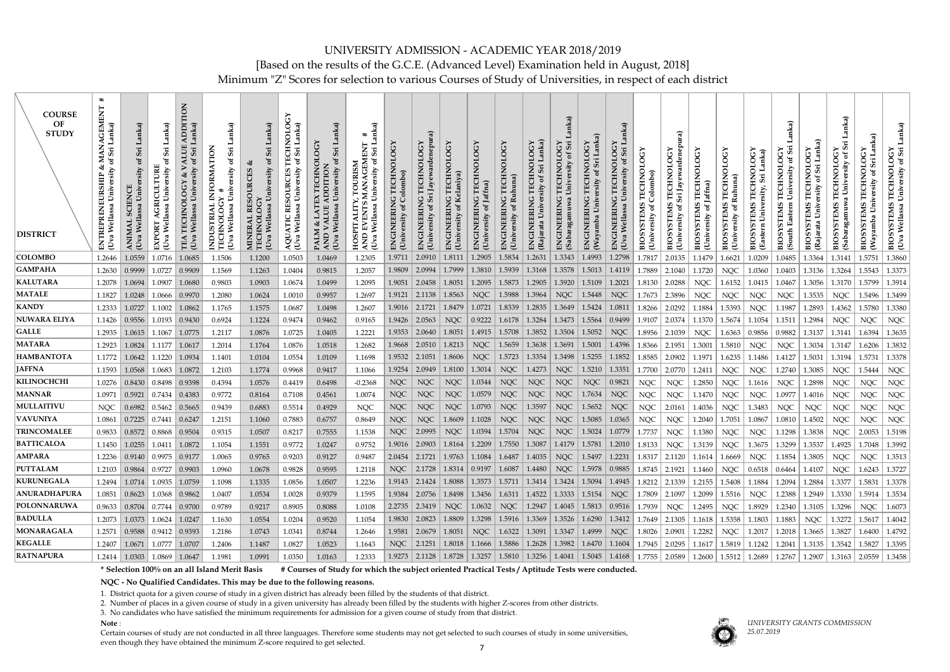### UNIVERSITY ADMISSION - ACADEMIC YEAR 2018/2019 [Based on the results of the G.C.E. (Advanced Level) Examination held in August, 2018] Minimum "Z" Scores for selection to various Courses of Study of Universities, in respect of each district

| <b>COURSE</b><br>OF<br><b>STUDY</b><br><b>DISTRICT</b> | $\ddot{}$<br>屲<br><b>LNID</b><br>$\sum_{\mathbf{S}}$<br>≅ ຮ<br>ಳ<br>REPRENEURSHIP<br>Uva | Lanka)<br>Sri<br>ðf<br>rsity<br>SCIENCE<br>⋗<br>(Uva | anka)<br>Sii<br>ិច<br>AGRICULTURE<br>Univ<br>EXPORT<br>(Uva | $\overline{5}$<br>Lanka)<br>Sri<br>$\sigma$<br>Univ<br>Wellassa<br>(Uva | nka)<br>INFORMATION<br>Sii<br>ð<br>ersity<br>Univ<br><b>INDUSTRIAL</b><br>Wellassa<br>(Uva | Lanka)<br>$\mathfrak{b}$<br>ersity<br>(Uva Wellassa<br>Õ<br>IOI<br><b>MINER</b><br>TECHI | <b>A50</b><br>NOL<br>TECHI<br>ersity<br><b>SOURCES</b><br>RE<br>TС<br>$\blacktriangleleft$<br>AQU.<br>(Uva | nka)<br>K TECHNOLOG<br>DDITION<br>Sri<br>ð<br>University<br>LATEX<br>LUE AL<br>Wellassa<br>PALM<br>AND V<br>(Uva | ੋੜੋਂ<br>$\overline{ }$<br>E<br>Si<br>$\sigma$<br>TOURISM<br>University<br>HOSPITALITY,<br>Wellassa<br>(Uva | $\chi$<br>TECHNOL<br>Colombo)<br><b>ENGINEERING</b><br>(Univ | rdenepu<br>TECHNOLOGY<br>Sri Jayewa<br><b>ENGINEERING</b><br>Univer | <b>TECHNOLOGY</b><br>Kelaniya<br>(Univer                    | ن<br>TECHNOL<br>Jaffna)<br><b>ENGINEERING</b><br>ð<br>Unive | TECHNOLOGY<br><b>ENGENERING</b><br>(Uni | nka)<br>ENGINEERING<br>(Rajara | nka)<br>Sri<br><b>TECHNOLOGY</b><br>University of<br><b>ENGINEERING</b><br>(Sabaragamuwa | 10G<br>Ö<br>GIN<br>叾 | C<br><b>TECHNOL</b><br>University<br>ENGINEERING<br>Uva                     | <b>TECHNOLOGY</b><br>Colombo)<br><b>BIOSYSTEMS</b><br>ď<br>ersity<br>(Univ | Jayewardenep<br>TECHNOI<br>Sii<br>ೆ<br>Univ<br><b>BIOS</b>                                                                                             | <b>TECHNOLOG</b><br>of Jaffna)<br><b>BIOSYSTEMS</b><br>Unive | ECHN<br>Ruhun<br><b>EMS</b><br>ď<br>$\overline{\text{Univ}}$<br><b>BIO</b> | TECHNOLOGY<br>Lanka)<br>Sii<br>ersity<br>TEMS<br>Univ<br>(Eastern<br><b>BIOS</b> | Sii<br>TECHNOLOGY<br>`ಕ<br><b>TEMS</b><br>South<br><b>BIOS</b> | Sri Lanka)<br>$\overline{5}$<br>ೆಕ<br>ersity<br>Univ<br>(Rajarata | anka)<br>Sii<br>ď<br><b>TECHNOLOG</b><br>ersity<br>Univ<br>$m$ uw<br><b>TEMS</b><br><b>BIOS</b><br>(Sab | <b>TECHNOLOG</b><br><b>EMS</b><br>BIOS <sup>-</sup> | Lanka<br><b>BIOSYSTEMS TECHNOLOGY</b><br>(Uva Wellassa University of Sri |
|--------------------------------------------------------|------------------------------------------------------------------------------------------|------------------------------------------------------|-------------------------------------------------------------|-------------------------------------------------------------------------|--------------------------------------------------------------------------------------------|------------------------------------------------------------------------------------------|------------------------------------------------------------------------------------------------------------|------------------------------------------------------------------------------------------------------------------|------------------------------------------------------------------------------------------------------------|--------------------------------------------------------------|---------------------------------------------------------------------|-------------------------------------------------------------|-------------------------------------------------------------|-----------------------------------------|--------------------------------|------------------------------------------------------------------------------------------|----------------------|-----------------------------------------------------------------------------|----------------------------------------------------------------------------|--------------------------------------------------------------------------------------------------------------------------------------------------------|--------------------------------------------------------------|----------------------------------------------------------------------------|----------------------------------------------------------------------------------|----------------------------------------------------------------|-------------------------------------------------------------------|---------------------------------------------------------------------------------------------------------|-----------------------------------------------------|--------------------------------------------------------------------------|
| <b>COLOMBO</b>                                         | 1.2646                                                                                   | 1.0559                                               | 1.0716                                                      | 1.0685                                                                  | 1.1506                                                                                     | 1.1200                                                                                   | 1.0503                                                                                                     | 1.0469                                                                                                           | 1.2305                                                                                                     | 1.9711                                                       | 2.0910                                                              | 1.8111                                                      | 1.2905                                                      | 1.5834                                  | 1.2631                         | 1.3343                                                                                   | 1.4993               | 1.2798                                                                      | 1.7817                                                                     | 2.0135                                                                                                                                                 | 1.1479                                                       | 1.6621                                                                     | 1.0209                                                                           | 1.0485                                                         | 1.3364                                                            | 1.3141                                                                                                  | 1.5751                                              | 1.3860                                                                   |
| <b>GAMPAHA</b>                                         |                                                                                          | 1.2630 0.9999                                        | 1.0727                                                      | 0.9909                                                                  | 1.1569                                                                                     | 1.1263                                                                                   | 1.0404                                                                                                     | 0.9815                                                                                                           | 1.2057                                                                                                     | 1.9809                                                       | 2.0994                                                              | 1.7999                                                      | 1.3810                                                      | 1.5939                                  | 1.3168                         | 1.3578                                                                                   | 1.5013               | 1.4119                                                                      | 1.7889                                                                     | 2.1040                                                                                                                                                 | 1.1720                                                       | <b>NQC</b>                                                                 | 1.0360                                                                           | 1.0403                                                         | 1.3136                                                            | 1.3264                                                                                                  | 1.5543                                              | 1.3373                                                                   |
| <b>KALUTARA</b>                                        | 1.2078                                                                                   | 1.0694                                               | 1.0907                                                      | 1.0680                                                                  | 0.9803                                                                                     | 1.0903                                                                                   | 1.0674                                                                                                     | 1.0499                                                                                                           | 1.2095                                                                                                     | 1.9051                                                       | 2.0458                                                              | 1.8051                                                      | 1.2095                                                      |                                         | $1.5873$   1.2905              | 1.3920                                                                                   | 1.5109               | 1.2021                                                                      | 1.8130                                                                     | 2.0288                                                                                                                                                 | <b>NQC</b>                                                   | 1.6152                                                                     | 1.0415                                                                           | 1.0467                                                         | 1.3056                                                            | 1.3170                                                                                                  | 1.5799                                              | 1.3914                                                                   |
| <b>MATALE</b>                                          |                                                                                          | $1.1827$   1.0248                                    | 1.0666                                                      | 0.9970                                                                  | 1.2080                                                                                     | 1.0624                                                                                   | 1.0010                                                                                                     | 0.9957                                                                                                           | 1.2697                                                                                                     | 1.9121                                                       | 2.1138                                                              | 1.8563                                                      | NQC                                                         | 1.5988                                  | 1.3964                         | <b>NQC</b>                                                                               | 1.5448               | NQC                                                                         | 1.7673                                                                     | 2.3896                                                                                                                                                 | <b>NQC</b>                                                   | <b>NQC</b>                                                                 | <b>NQC</b>                                                                       | <b>NQC</b>                                                     | 1.3535                                                            | <b>NQC</b>                                                                                              | 1.5496                                              | 1.3499                                                                   |
| <b>KANDY</b>                                           |                                                                                          | $1.2333$   $1.0727$                                  |                                                             | $1.1002$   1.0862                                                       | 1.1765                                                                                     | 1.1575                                                                                   | 1.0687                                                                                                     | 1.0498                                                                                                           | 1.2607                                                                                                     | 1.9016                                                       | 2.1721                                                              | 1.8479                                                      | 1.0721                                                      |                                         | $1.8339$   1.2835              | 1.3649                                                                                   | $1.5424$ 1.0811      |                                                                             | 1.8266                                                                     | 2.0292                                                                                                                                                 | 1.1884                                                       | 1.5393                                                                     | <b>NQC</b>                                                                       | 1.1987                                                         | 1.2893                                                            | 1.4362                                                                                                  | 1.5780                                              | 1.3380                                                                   |
| <b>NUWARA ELIYA</b>                                    | 1.1426                                                                                   | 0.9556                                               | 1.0193                                                      | 0.9430                                                                  | 0.6924                                                                                     | 1.1224                                                                                   | 0.9474                                                                                                     | 0.9462                                                                                                           | 0.9165                                                                                                     | 1.9426                                                       | 2.0563                                                              | NQC                                                         | 0.9222                                                      | 1.6178                                  | 1.3284                         | 1.3473                                                                                   | 1.5564               | 0.9499                                                                      | 1.9107                                                                     | 2.0374                                                                                                                                                 | 1.1370                                                       | 1.5674                                                                     | 1.1054                                                                           | 1.1511                                                         | 1.2984                                                            | <b>NQC</b>                                                                                              | <b>NQC</b>                                          | <b>NQC</b>                                                               |
| <b>GALLE</b>                                           |                                                                                          | $1.2935$   $1.0615$   $1.1067$                       |                                                             | 1.0775                                                                  | 1.2117                                                                                     | 1.0876                                                                                   | 1.0725                                                                                                     | 1.0405                                                                                                           | 1.2221                                                                                                     | 1.9353                                                       | 2.0640                                                              | 1.8051   1.4915                                             |                                                             |                                         | $1.5708$   1.3852              | 1.3504                                                                                   | 1.5052               | <b>NQC</b>                                                                  | 1.8956                                                                     | 2.1039                                                                                                                                                 | <b>NQC</b>                                                   | 1.6363                                                                     | 0.9856                                                                           | 0.9882                                                         | 1.3137                                                            | 1.3141                                                                                                  | 1.6394                                              | 1.3635                                                                   |
| <b>MATARA</b>                                          |                                                                                          | 1.2923 1.0824 1.1177 1.0617                          |                                                             |                                                                         | 1.2014                                                                                     | 1.1764                                                                                   | 1.0876                                                                                                     | 1.0518                                                                                                           | 1.2682                                                                                                     | 1.9668                                                       | 2.0510                                                              | 1.8213                                                      | NQC                                                         |                                         | $1.5659$   1.3638              | 1.3691                                                                                   |                      | $1.5001$   1.4396                                                           | 1.8366                                                                     | 2.1951                                                                                                                                                 | 1.3001                                                       | 1.5810                                                                     | <b>NQC</b>                                                                       | <b>NQC</b>                                                     | 1.3034                                                            | 1.3147                                                                                                  | 1.6206                                              | 1.3832                                                                   |
| <b>HAMBANTOTA</b>                                      | 1.1772                                                                                   | $1.0642$                                             | 1.1220                                                      | 1.0934                                                                  | 1.1401                                                                                     | 1.0104                                                                                   | 1.0554                                                                                                     | 1.0109                                                                                                           | 1.1698                                                                                                     | 1.9532                                                       | 2.1051                                                              | 1.8606                                                      | <b>NQC</b>                                                  | 1.5723                                  | 1.3354                         | 1.3498                                                                                   | 1.5255               | 1.1852                                                                      | 1.8585                                                                     | 2.0902                                                                                                                                                 | 1.1971                                                       | 1.6235                                                                     | 1.1486                                                                           | 1.4127                                                         | 1.5031                                                            | 1.3194                                                                                                  | 1.5731                                              | 1.3378                                                                   |
| <b>JAFFNA</b>                                          |                                                                                          | 1.1593 1.0568                                        |                                                             | $1.0683$   1.0872                                                       | 1.2103                                                                                     | 1.1774                                                                                   | 0.9968                                                                                                     | 0.9417                                                                                                           | 1.1066                                                                                                     | 1.9254                                                       | 2.0949                                                              | 1.8100                                                      | 1.3014                                                      | NQC                                     | 1.4273                         | <b>NQC</b>                                                                               | 1.5210               | 1.3351                                                                      | 1.7700                                                                     | 2.0770                                                                                                                                                 | 1.2411                                                       | <b>NQC</b>                                                                 | <b>NQC</b>                                                                       | 1.2740                                                         | 1.3085                                                            | <b>NQC</b>                                                                                              | 1.5444                                              | <b>NQC</b>                                                               |
| KILINOCHCHI                                            |                                                                                          | $1.0276$   0.8430                                    | 0.8498                                                      | 0.9398                                                                  | 0.4394                                                                                     | 1.0576                                                                                   | 0.4419                                                                                                     | 0.6498                                                                                                           | $-0.2368$                                                                                                  | <b>NQC</b>                                                   | <b>NQC</b>                                                          | <b>NQC</b>                                                  | 1.0344                                                      | <b>NQC</b>                              | <b>NQC</b>                     | <b>NQC</b>                                                                               | <b>NQC</b>           | 0.9821                                                                      | <b>NQC</b>                                                                 | <b>NQC</b>                                                                                                                                             | 1.2850                                                       | NQC                                                                        | 1.1616                                                                           | <b>NQC</b>                                                     | 1.2898                                                            | <b>NQC</b>                                                                                              | <b>NQC</b>                                          | <b>NQC</b>                                                               |
| <b>MANNAR</b>                                          | 1.0971                                                                                   | $\mid 0.5921 \mid 0.7434$                            |                                                             | 0.4383                                                                  | 0.9772                                                                                     | 0.8164                                                                                   | 0.7108                                                                                                     | 0.4561                                                                                                           | 1.0074                                                                                                     | <b>NQC</b>                                                   | <b>NQC</b>                                                          | NQC                                                         | 1.0579                                                      | <b>NQC</b>                              | <b>NQC</b>                     | <b>NQC</b>                                                                               | 1.7634               | <b>NQC</b>                                                                  | <b>NQC</b>                                                                 | <b>NQC</b>                                                                                                                                             | 1.1470                                                       | <b>NQC</b>                                                                 | <b>NQC</b>                                                                       | 1.0977                                                         | 1.4016                                                            | <b>NQC</b>                                                                                              | <b>NQC</b>                                          | <b>NQC</b>                                                               |
| MULLAITIVU                                             | NQC                                                                                      |                                                      | $0.6982$ 0.5462 0.5665                                      |                                                                         | 0.9439                                                                                     | 0.6883                                                                                   | 0.5514                                                                                                     | 0.4929                                                                                                           | <b>NQC</b>                                                                                                 | <b>NQC</b>                                                   | $\rm NQC$                                                           | NQC                                                         | 1.0793                                                      | <b>NQC</b>                              | 1.3597                         | <b>NQC</b>                                                                               | 1.5652               | <b>NQC</b>                                                                  | <b>NQC</b>                                                                 | 2.0161                                                                                                                                                 | 1.4036                                                       | NQC                                                                        | 1.3483                                                                           | <b>NQC</b>                                                     | NQC                                                               | <b>NQC</b>                                                                                              | <b>NQC</b>                                          | <b>NQC</b>                                                               |
| <b>VAVUNIYA</b>                                        | 1.0861                                                                                   | $\mid 0.7225 \mid 0.7441$                            |                                                             | 0.6247                                                                  | 1.2151                                                                                     | 1.1060                                                                                   | 0.7883                                                                                                     | 0.6757                                                                                                           | 0.8649                                                                                                     | <b>NQC</b>                                                   | <b>NQC</b>                                                          | 1.8609                                                      | 1.1028                                                      | <b>NQC</b>                              | <b>NQC</b>                     | <b>NQC</b>                                                                               | 1.5085               | 1.0365                                                                      | <b>NQC</b>                                                                 | <b>NQC</b>                                                                                                                                             | 1.2040                                                       | 1.7051                                                                     | 1.0867                                                                           | 1.0810                                                         | 1.4502                                                            | <b>NQC</b>                                                                                              | <b>NQC</b>                                          | <b>NQC</b>                                                               |
| <b>TRINCOMALEE</b>                                     | 0.9833                                                                                   | 0.8572                                               | 0.8868                                                      | 0.9504                                                                  | 0.9315                                                                                     | 1.0507                                                                                   | 0.8217                                                                                                     | 0.7555                                                                                                           | 1.1538                                                                                                     | <b>NQC</b>                                                   | 2.0995                                                              | NQC                                                         | 1.0394                                                      | 1.5704                                  | <b>NQC</b>                     | <b>NQC</b>                                                                               | 1.5024               | 1.0779                                                                      | 1.7737                                                                     | <b>NQC</b>                                                                                                                                             | 1.1380                                                       | <b>NQC</b>                                                                 | <b>NQC</b>                                                                       | 1.1298                                                         | 1.3838                                                            | <b>NQC</b>                                                                                              | 2.0053                                              | 1.5198                                                                   |
| <b>BATTICALOA</b>                                      |                                                                                          | $1.1450$   1.0255                                    | 1.0411                                                      | 1.0872                                                                  | 1.1054                                                                                     | 1.1551                                                                                   | 0.9772                                                                                                     | 1.0247                                                                                                           | 0.9752                                                                                                     | 1.9016                                                       | 2.0903                                                              | 1.8164                                                      | 1.2209                                                      | 1.7550                                  | 1.3087                         | 1.4179                                                                                   | 1.5781               | 1.2010                                                                      | 1.8133                                                                     | NOC.                                                                                                                                                   | 1.3139                                                       | NOC                                                                        | 1.3675                                                                           | 1.3299                                                         | 1.3537                                                            | 1.4925                                                                                                  | 1.7048                                              | 1.3992                                                                   |
| <b>AMPARA</b>                                          |                                                                                          | $1.2236$ 0.9140 0.9975 0.9177                        |                                                             |                                                                         | 1.0065                                                                                     | 0.9765                                                                                   | 0.9203                                                                                                     | 0.9127                                                                                                           | 0.9487                                                                                                     |                                                              |                                                                     | $2.0454$   2.1721   1.9763   1.1084   1.6487   1.4035   NQC |                                                             |                                         |                                |                                                                                          |                      |                                                                             |                                                                            | 1.5497   1.2231   1.8317   2.1120   1.1614   1.6669                                                                                                    |                                                              |                                                                            | NQC                                                                              |                                                                | $1.1854$   1.3805                                                 | <b>NQC</b>                                                                                              | <b>NQC</b>                                          | 1.3513                                                                   |
| <b>PUTTALAM</b>                                        |                                                                                          | $1.2103$   0.9864   0.9727   0.9903                  |                                                             |                                                                         | 1.0960                                                                                     | 1.0678                                                                                   | 0.9828                                                                                                     | 0.9595                                                                                                           | 1.2118                                                                                                     | NQC                                                          |                                                                     | $\mid$ 2.1728   1.8314   0.9197   1.6087   1.4480   NQC     |                                                             |                                         |                                |                                                                                          |                      |                                                                             |                                                                            | 1.5978   0.9885   1.8745   2.1921   1.1460   NQC                                                                                                       |                                                              |                                                                            |                                                                                  |                                                                | $0.6518$   $0.6464$   1.4107                                      | <b>NQC</b>                                                                                              |                                                     | 1.6243   1.3727                                                          |
| <b>KURUNEGALA</b>                                      |                                                                                          | $1.2494$   $1.0714$   $1.0935$   $1.0759$            |                                                             |                                                                         | 1.1098                                                                                     | 1.1335                                                                                   | 1.0856                                                                                                     | 1.0507                                                                                                           | 1.2236                                                                                                     |                                                              |                                                                     | 1.9143   2.1424   1.8088   1.3573                           |                                                             |                                         |                                |                                                                                          |                      |                                                                             |                                                                            | 1.5711   1.3414   1.3424   1.5094   1.4945   1.8212   2.1339   1.2155   1.5408   1.1884                                                                |                                                              |                                                                            |                                                                                  |                                                                | $1.2094$   1.2884                                                 | 1.3377                                                                                                  |                                                     | 1.5831   1.3378                                                          |
| <b>ANURADHAPURA</b>                                    |                                                                                          |                                                      |                                                             | $1.0851$   0.8623   1.0368   0.9862                                     | 1.0407                                                                                     | 1.0534                                                                                   | 1.0028                                                                                                     | 0.9379                                                                                                           | 1.1595                                                                                                     |                                                              |                                                                     |                                                             |                                                             |                                         |                                |                                                                                          |                      | 1.9384   2.0756   1.8498   1.3456   1.6311   1.4522   1.3333   1.5154   NQC |                                                                            | $1.7809$ 2.1097                                                                                                                                        |                                                              | 1.2099   1.5516                                                            | <b>NQC</b>                                                                       |                                                                | $1.2388$   1.2949   1.3330                                        |                                                                                                         |                                                     | 1.5914   1.3534                                                          |
| <b>POLONNARUWA</b>                                     |                                                                                          | $0.9633$ 0.8704 0.7744 0.9700                        |                                                             |                                                                         | 0.9789                                                                                     | 0.9217                                                                                   | 0.8905                                                                                                     | 0.8088                                                                                                           | 1.0108                                                                                                     | 2.2735                                                       |                                                                     | 2.3419   NQC   1.0632                                       |                                                             |                                         |                                |                                                                                          |                      | NQC   1.2947   1.4045   1.5813   0.9516   1.7939                            |                                                                            | <b>NQC</b>                                                                                                                                             | 1.2495                                                       | NQC                                                                        | 1.8929                                                                           |                                                                | $1.2340$   1.3105                                                 | 1.3296                                                                                                  | NQC                                                 | 1.6073                                                                   |
| <b>BADULLA</b>                                         |                                                                                          | 1.2073 1.0373 1.0624 1.0247                          |                                                             |                                                                         | 1.1630                                                                                     | 1.0554                                                                                   | 1.0204                                                                                                     | 0.9520                                                                                                           | 1.1054                                                                                                     | 1.9830                                                       |                                                                     | $2.0823$   $1.8809$   $1.3298$                              |                                                             |                                         | $1.5916$   1.3369              |                                                                                          |                      |                                                                             |                                                                            | 1.3526   1.6290   1.3412   1.7649   2.1305   1.1618   1.5358   1.1803   1.1883   NQC                                                                   |                                                              |                                                                            |                                                                                  |                                                                |                                                                   | 1.3272                                                                                                  |                                                     | 1.5617 1.4042                                                            |
| <b>MONARAGALA</b>                                      |                                                                                          | $1.2571$   0.9588   0.9412   0.9393                  |                                                             |                                                                         | 1.2186                                                                                     | 1.0743                                                                                   | 1.0341                                                                                                     | 0.8744                                                                                                           | 1.2646                                                                                                     |                                                              |                                                                     | $1.9581$   2.0679   1.8051   NQC                            |                                                             |                                         |                                |                                                                                          |                      | $\mid$ 1.6322   1.3091   1.3347   1.4999   NQC                              |                                                                            | $1.8026$ 2.0901                                                                                                                                        | $1.2282$                                                     | NQC                                                                        |                                                                                  |                                                                | $1.2017$   1.2018   1.3665                                        | 1.3827                                                                                                  |                                                     | 1.6400   1.4792                                                          |
| <b>KEGALLE</b>                                         |                                                                                          | $1.2407$   $1.0671$   $1.0777$   $1.0707$            |                                                             |                                                                         | 1.2406                                                                                     | 1.1487                                                                                   | 1.0827                                                                                                     | 1.0523                                                                                                           | 1.1643                                                                                                     | NQC                                                          |                                                                     | $2.1251$   1.8018   1.1666                                  |                                                             |                                         |                                |                                                                                          |                      |                                                                             |                                                                            | 1.5886   1.2628   1.3982   1.6470   1.1604   1.7945   2.0295   1.1617   1.5819   1.1242                                                                |                                                              |                                                                            |                                                                                  |                                                                | $1.2041$   $1.3135$   $1.3542$                                    |                                                                                                         |                                                     | 1.5827   1.3395                                                          |
| <b>RATNAPURA</b>                                       |                                                                                          | $1.2414$   1.0303   1.0869   1.0647                  |                                                             |                                                                         | 1.1981                                                                                     | 1.0991                                                                                   | 1.0350                                                                                                     | 1.0163                                                                                                           | 1.2333                                                                                                     |                                                              |                                                                     |                                                             |                                                             |                                         |                                |                                                                                          |                      |                                                                             |                                                                            | 1.9273   2.1128   1.8728   1.3257   1.5810   1.3256   1.4041   1.5045   1.4168   1.7755   2.0589   1.2600   1.5512   1.2689   1.2767   1.2907   1.3163 |                                                              |                                                                            |                                                                                  |                                                                |                                                                   |                                                                                                         | $\vert 2.0559 \vert 1.3458$                         |                                                                          |

**\* Selection 100% on an all Island Merit Basis # Courses of Study for which the subject oriented Practical Tests / Aptitude Tests were conducted.**

**NQC - No Qualified Candidates. This may be due to the following reasons.**

1. District quota for a given course of study in a given district has already been filled by the students of that district.

2. Number of places in a given course of study in a given university has already been filled by the students with higher Z-scores from other districts.

3. No candidates who have satisfied the minimum requirements for admission for a given course of study from that district.

**Note** :